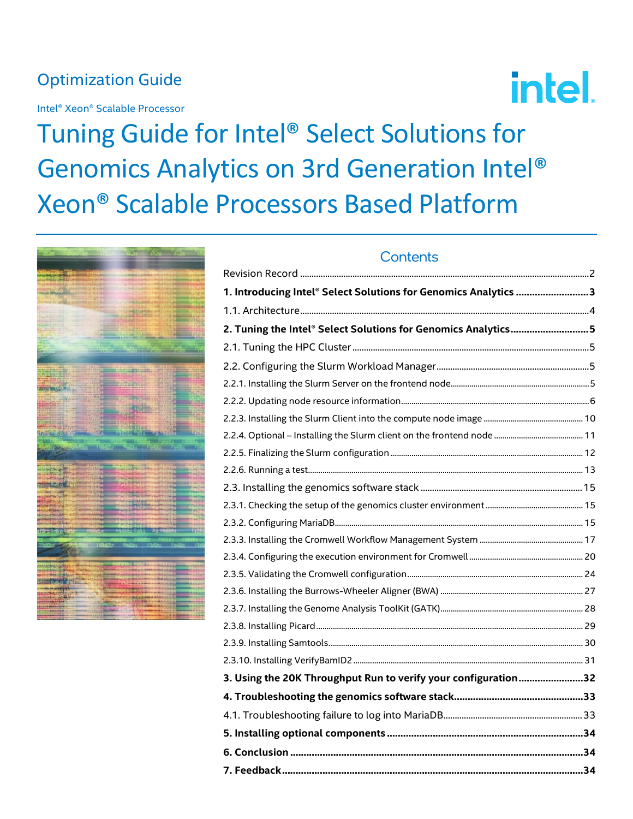# Optimization Guide

Intel® Xeon® Scalable Processor



# Tuning Guide for Intel® Select Solutions for Genomics Analytics on 3rd Generation Intel® Xeon® Scalable Processors Based Platform



| 1. Introducing Intel® Select Solutions for Genomics Analytics 3 |  |
|-----------------------------------------------------------------|--|
|                                                                 |  |
| 2. Tuning the Intel® Select Solutions for Genomics Analytics 5  |  |
|                                                                 |  |
|                                                                 |  |
|                                                                 |  |
|                                                                 |  |
|                                                                 |  |
|                                                                 |  |
|                                                                 |  |
|                                                                 |  |
|                                                                 |  |
|                                                                 |  |
|                                                                 |  |
|                                                                 |  |
|                                                                 |  |
|                                                                 |  |
|                                                                 |  |
|                                                                 |  |
|                                                                 |  |
|                                                                 |  |
|                                                                 |  |
| 3. Using the 20K Throughput Run to verify your configuration32  |  |
|                                                                 |  |
|                                                                 |  |
|                                                                 |  |
|                                                                 |  |
|                                                                 |  |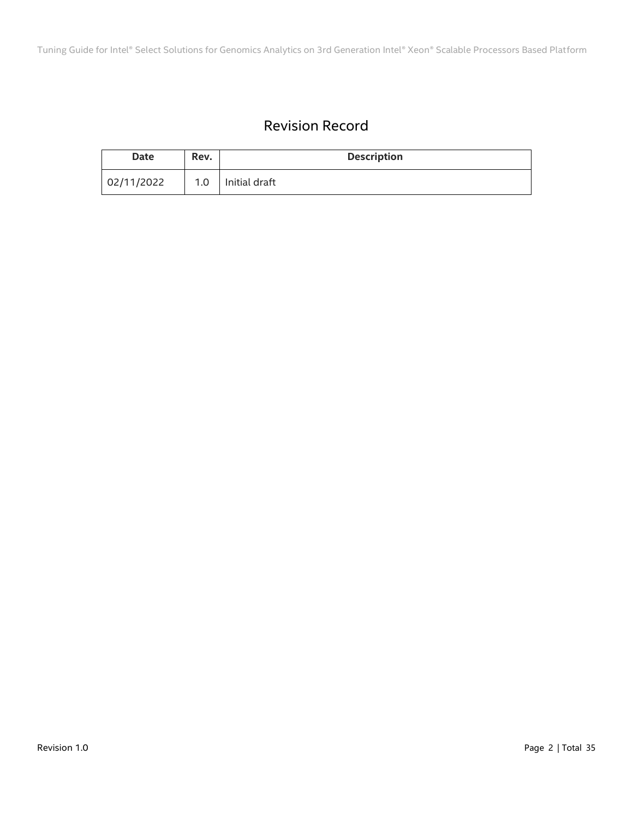# Revision Record

<span id="page-1-0"></span>

| <b>Date</b> | Rev. | <b>Description</b> |
|-------------|------|--------------------|
| 02/11/2022  | 1.0  | Initial draft      |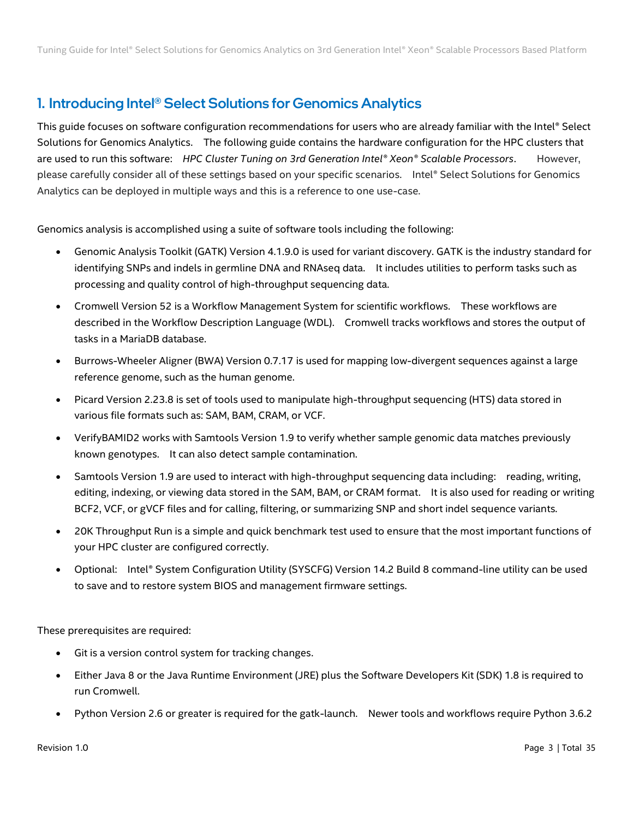# <span id="page-2-0"></span>1. Introducing Intel® Select Solutions for Genomics Analytics

This guide focuses on software configuration recommendations for users who are already familiar with the Intel® Select Solutions for Genomics Analytics. The following guide contains the hardware configuration for the HPC clusters that are used to run this software: *HPC Cluster Tuning on 3rd Generation Intel® Xeon® Scalable Processors*. However, please carefully consider all of these settings based on your specific scenarios. Intel® Select Solutions for Genomics Analytics can be deployed in multiple ways and this is a reference to one use-case.

Genomics analysis is accomplished using a suite of software tools including the following:

- Genomic Analysis Toolkit (GATK) Version 4.1.9.0 is used for variant discovery. GATK is the industry standard for identifying SNPs and indels in germline DNA and RNAseq data. It includes utilities to perform tasks such as processing and quality control of high-throughput sequencing data.
- Cromwell Version 52 is a Workflow Management System for scientific workflows. These workflows are described in the Workflow Description Language (WDL). Cromwell tracks workflows and stores the output of tasks in a MariaDB database.
- Burrows-Wheeler Aligner (BWA) Version 0.7.17 is used for mapping low-divergent sequences against a large reference genome, such as the human genome.
- Picard Version 2.23.8 is set of tools used to manipulate high-throughput sequencing (HTS) data stored in various file formats such as: SAM, BAM, CRAM, or VCF.
- VerifyBAMID2 works with Samtools Version 1.9 to verify whether sample genomic data matches previously known genotypes. It can also detect sample contamination.
- Samtools Version 1.9 are used to interact with high-throughput sequencing data including: reading, writing, editing, indexing, or viewing data stored in the SAM, BAM, or CRAM format. It is also used for reading or writing BCF2, VCF, or gVCF files and for calling, filtering, or summarizing SNP and short indel sequence variants.
- 20K Throughput Run is a simple and quick benchmark test used to ensure that the most important functions of your HPC cluster are configured correctly.
- Optional: Intel® System Configuration Utility (SYSCFG) Version 14.2 Build 8 command-line utility can be used to save and to restore system BIOS and management firmware settings.

These prerequisites are required:

- Git is a version control system for tracking changes.
- Either Java 8 or the Java Runtime Environment (JRE) plus the Software Developers Kit (SDK) 1.8 is required to run Cromwell.
- Python Version 2.6 or greater is required for the gatk-launch. Newer tools and workflows require Python 3.6.2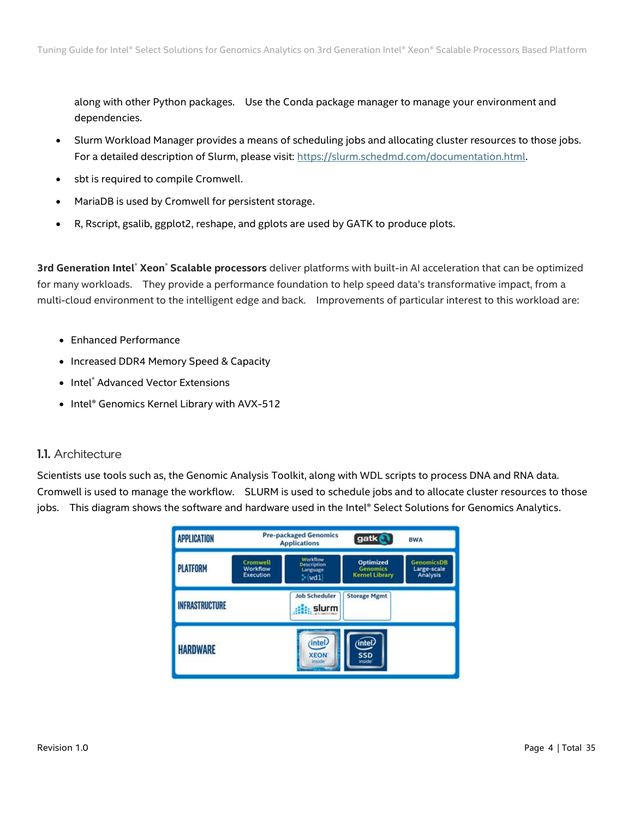along with other Python packages. Use the Conda package manager to manage your environment and dependencies.

- Slurm Workload Manager provides a means of scheduling jobs and allocating cluster resources to those jobs. For a detailed description of Slurm, please visit: [https://slurm.schedmd.com/documentation.html.](https://slurm.schedmd.com/documentation.html)
- sbt is required to compile Cromwell.
- MariaDB is used by Cromwell for persistent storage.
- R, Rscript, gsalib, ggplot2, reshape, and gplots are used by GATK to produce plots.

**3rd Generation Intel**® **Xeon**® **Scalable processors** deliver platforms with built-in AI acceleration that can be optimized for many workloads. They provide a performance foundation to help speed data's transformative impact, from a multi-cloud environment to the intelligent edge and back. Improvements of particular interest to this workload are:

- Enhanced Performance
- Increased DDR4 Memory Speed & Capacity
- Intel® Advanced Vector Extensions
- Intel® Genomics Kernel Library with AVX-512

# <span id="page-3-0"></span>1.1. Architecture

Scientists use tools such as, the Genomic Analysis Toolkit, along with WDL scripts to process DNA and RNA data. Cromwell is used to manage the workflow. SLURM is used to schedule jobs and to allocate cluster resources to those jobs. This diagram shows the software and hardware used in the Intel® Select Solutions for Genomics Analytics.

| <b>APPLICATION</b>    |                                          | <b>Pre-packaged Genomics</b><br><b>Applications</b>  | gatk                                                        | <b>BWA</b>                                   |
|-----------------------|------------------------------------------|------------------------------------------------------|-------------------------------------------------------------|----------------------------------------------|
| <b>PLATFORM</b>       | Cromwell<br>Workflow<br><b>Execution</b> | Worldflow<br>Description<br>Language<br>$\sim$ (wdl) | <b>Optimized</b><br><b>Genomics</b><br><b>Kemel Library</b> | <b>GenomicsDB</b><br>Large-scale<br>Analysis |
| <b>INFRASTRUCTURE</b> |                                          | <b>Job Scheduler</b><br><b>I</b> : slurm             | <b>Storage Mgmt</b>                                         |                                              |
| <b>HARDWARE</b>       |                                          | (intel)<br><b>XEON</b><br>inside <sup>®</sup>        | (intel)<br><b>SSD</b><br>inside <sup>®</sup>                |                                              |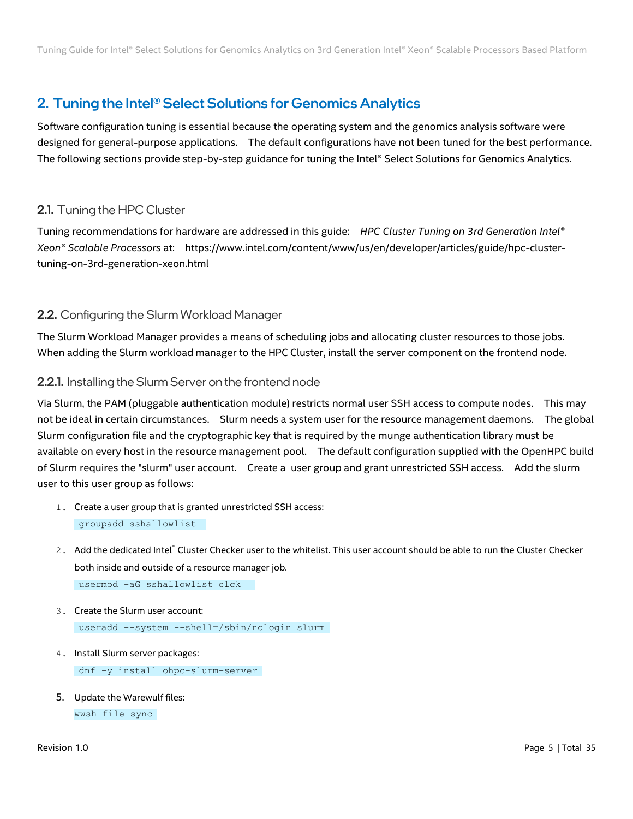# <span id="page-4-0"></span>2. Tuning the Intel® Select Solutions for Genomics Analytics

Software configuration tuning is essential because the operating system and the genomics analysis software were designed for general-purpose applications. The default configurations have not been tuned for the best performance. The following sections provide step-by-step guidance for tuning the Intel® Select Solutions for Genomics Analytics.

# <span id="page-4-1"></span>2.1. Tuning the HPC Cluster

Tuning recommendations for hardware are addressed in this guide: *HPC Cluster Tuning on 3rd Generation Intel® Xeon® Scalable Processors* at: https://www.intel.com/content/www/us/en/developer/articles/guide/hpc-clustertuning-on-3rd-generation-xeon.html

# <span id="page-4-2"></span>2.2. Configuring the Slurm Workload Manager

The Slurm Workload Manager provides a means of scheduling jobs and allocating cluster resources to those jobs. When adding the Slurm workload manager to the HPC Cluster, install the server component on the frontend node.

# <span id="page-4-3"></span>2.2.1. Installing the Slurm Server on the frontend node

Via Slurm, the PAM (pluggable authentication module) restricts normal user SSH access to compute nodes. This may not be ideal in certain circumstances. Slurm needs a system user for the resource management daemons. The global Slurm configuration file and the cryptographic key that is required by the munge authentication library must be available on every host in the resource management pool. The default configuration supplied with the OpenHPC build of Slurm requires the "slurm" user account. Create a user group and grant unrestricted SSH access. Add the slurm user to this user group as follows:

- 1. Create a user group that is granted unrestricted SSH access: groupadd sshallowlist
- 2. Add the dedicated Intel® Cluster Checker user to the whitelist. This user account should be able to run the Cluster Checker both inside and outside of a resource manager job. usermod -aG sshallowlist clck
- 3. Create the Slurm user account: useradd --system --shell=/sbin/nologin slurm
- 4. Install Slurm server packages: dnf -y install ohpc-slurm-server
- 5. Update the Warewulf files: wwsh file sync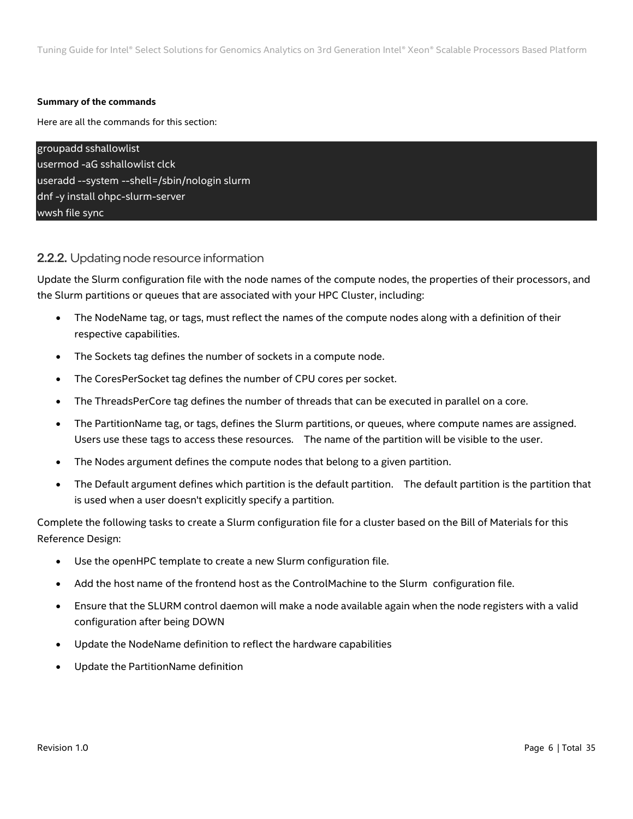#### **Summary of the commands**

Here are all the commands for this section:

| groupadd sshallowlist                        |
|----------------------------------------------|
| usermod -aG sshallowlist clck                |
| useradd --system --shell=/sbin/nologin slurm |
| dnf -y install ohpc-slurm-server             |
| wwsh file sync                               |

# <span id="page-5-0"></span>2.2.2. Updating node resource information

Update the Slurm configuration file with the node names of the compute nodes, the properties of their processors, and the Slurm partitions or queues that are associated with your HPC Cluster, including:

- The NodeName tag, or tags, must reflect the names of the compute nodes along with a definition of their respective capabilities.
- The Sockets tag defines the number of sockets in a compute node.
- The CoresPerSocket tag defines the number of CPU cores per socket.
- The ThreadsPerCore tag defines the number of threads that can be executed in parallel on a core.
- The PartitionName tag, or tags, defines the Slurm partitions, or queues, where compute names are assigned. Users use these tags to access these resources. The name of the partition will be visible to the user.
- The Nodes argument defines the compute nodes that belong to a given partition.
- The Default argument defines which partition is the default partition. The default partition is the partition that is used when a user doesn't explicitly specify a partition.

Complete the following tasks to create a Slurm configuration file for a cluster based on the Bill of Materials for this Reference Design:

- Use the openHPC template to create a new Slurm configuration file.
- Add the host name of the frontend host as the ControlMachine to the Slurm configuration file.
- Ensure that the SLURM control daemon will make a node available again when the node registers with a valid configuration after being DOWN
- Update the NodeName definition to reflect the hardware capabilities
- Update the PartitionName definition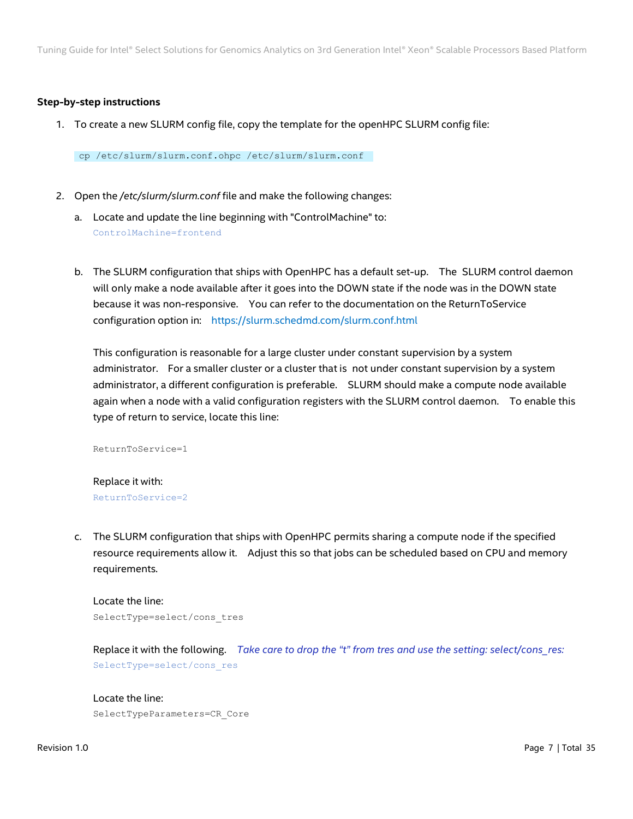#### **Step-by-step instructions**

1. To create a new SLURM config file, copy the template for the openHPC SLURM config file:

cp /etc/slurm/slurm.conf.ohpc /etc/slurm/slurm.conf

- 2. Open the */etc/slurm/slurm.conf* file and make the following changes:
	- a. Locate and update the line beginning with "ControlMachine" to: ControlMachine=frontend
	- b. The SLURM configuration that ships with OpenHPC has a default set-up. The SLURM control daemon will only make a node available after it goes into the DOWN state if the node was in the DOWN state because it was non-responsive. You can refer to the documentation on the ReturnToService configuration option in: <https://slurm.schedmd.com/slurm.conf.html>

This configuration is reasonable for a large cluster under constant supervision by a system administrator. For a smaller cluster or a cluster that is not under constant supervision by a system administrator, a different configuration is preferable. SLURM should make a compute node available again when a node with a valid configuration registers with the SLURM control daemon. To enable this type of return to service, locate this line:

ReturnToService=1

Replace it with: ReturnToService=2

c. The SLURM configuration that ships with OpenHPC permits sharing a compute node if the specified resource requirements allow it. Adjust this so that jobs can be scheduled based on CPU and memory requirements.

Locate the line: SelectType=select/cons\_tres

Replace it with the following. *Take care to drop the "t" from tres and use the setting: select/cons\_res:* SelectType=select/cons\_res

#### Locate the line:

SelectTypeParameters=CR\_Core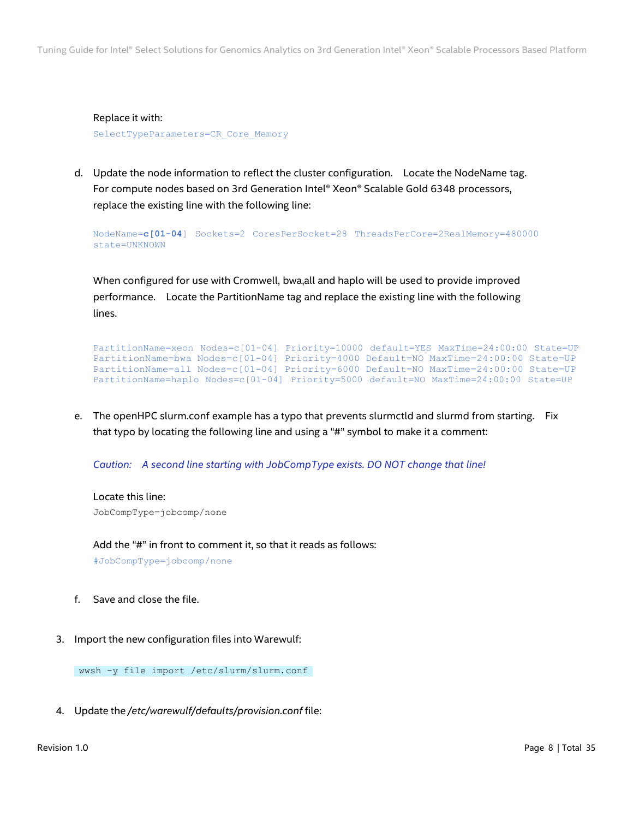Replace it with: SelectTypeParameters=CR\_Core\_Memory

d. Update the node information to reflect the cluster configuration. Locate the NodeName tag. For compute nodes based on 3rd Generation Intel® Xeon® Scalable Gold 6348 processors, replace the existing line with the following line:

NodeName=**c[01-04**] Sockets=2 CoresPerSocket=28 ThreadsPerCore=2RealMemory=480000 state=UNKNOWN

When configured for use with Cromwell, bwa,all and haplo will be used to provide improved performance. Locate the PartitionName tag and replace the existing line with the following lines.

```
PartitionName=xeon Nodes=c[01-04] Priority=10000 default=YES MaxTime=24:00:00 State=UP
PartitionName=bwa Nodes=c[01-04] Priority=4000 Default=NO MaxTime=24:00:00 State=UP
PartitionName=all Nodes=c[01-04] Priority=6000 Default=NO MaxTime=24:00:00 State=UP
PartitionName=haplo Nodes=c[01-04] Priority=5000 default=NO MaxTime=24:00:00 State=UP
```
e. The openHPC slurm.conf example has a typo that prevents slurmctld and slurmd from starting. Fix that typo by locating the following line and using a "#" symbol to make it a comment:

*Caution: A second line starting with JobCompType exists. DO NOT change that line!*

Locate this line: JobCompType=jobcomp/none

Add the "#" in front to comment it, so that it reads as follows:

#JobCompType=jobcomp/none

- f. Save and close the file.
- 3. Import the new configuration files into Warewulf:

wwsh -y file import /etc/slurm/slurm.conf

4. Update the */etc/warewulf/defaults/provision.conf* file: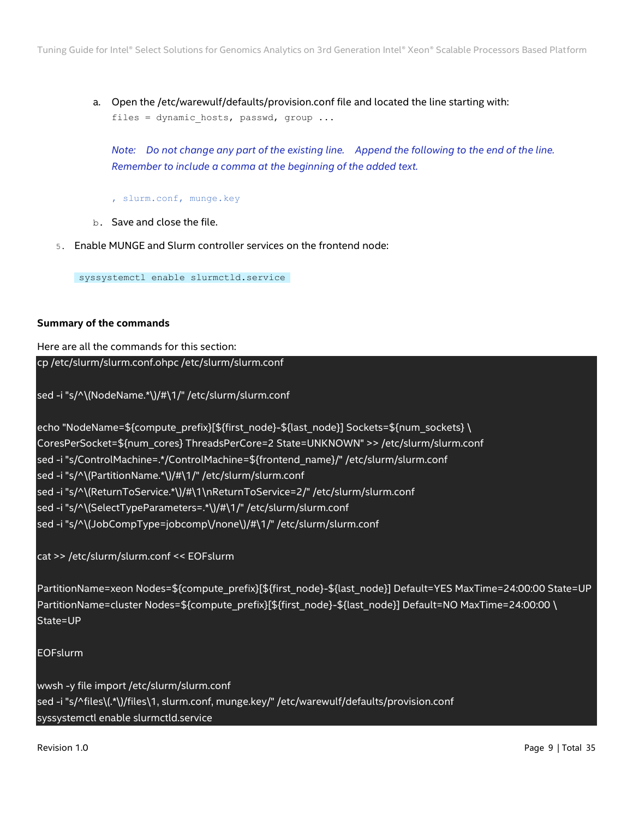a. Open the /etc/warewulf/defaults/provision.conf file and located the line starting with: files = dynamic hosts, passwd, group ...

*Note: Do not change any part of the existing line. Append the following to the end of the line. Remember to include a comma at the beginning of the added text.*

- , slurm.conf, munge.key
- b. Save and close the file.
- 5. Enable MUNGE and Slurm controller services on the frontend node:

syssystemctl enable slurmctld.service

#### **Summary of the commands**

Here are all the commands for this section:

cp /etc/slurm/slurm.conf.ohpc /etc/slurm/slurm.conf

sed -i "s/^\(NodeName.\*\)/#\1/" /etc/slurm/slurm.conf

echo "NodeName=\${compute\_prefix}[\${first\_node}-\${last\_node}] Sockets=\${num\_sockets} \ CoresPerSocket=\${num\_cores} ThreadsPerCore=2 State=UNKNOWN" >> /etc/slurm/slurm.conf sed -i "s/ControlMachine=.\*/ControlMachine=\${frontend\_name}/" /etc/slurm/slurm.conf sed -i "s/^\(PartitionName.\*\)/#\1/" /etc/slurm/slurm.conf sed -i "s/^\(ReturnToService.\*\)/#\1\nReturnToService=2/" /etc/slurm/slurm.conf sed -i "s/^\(SelectTypeParameters=.\*\)/#\1/" /etc/slurm/slurm.conf sed -i "s/^\(JobCompType=jobcomp\/none\)/#\1/" /etc/slurm/slurm.conf

cat >> /etc/slurm/slurm.conf << EOFslurm

PartitionName=xeon Nodes=\${compute\_prefix}[\${first\_node}-\${last\_node}] Default=YES MaxTime=24:00:00 State=UP PartitionName=cluster Nodes=\${compute\_prefix}[\${first\_node}-\${last\_node}] Default=NO MaxTime=24:00:00 \ State=UP

EOFslurm

wwsh -y file import /etc/slurm/slurm.conf sed -i "s/^files\(.\*\)/files\1, slurm.conf, munge.key/" /etc/warewulf/defaults/provision.conf syssystemctl enable slurmctld.service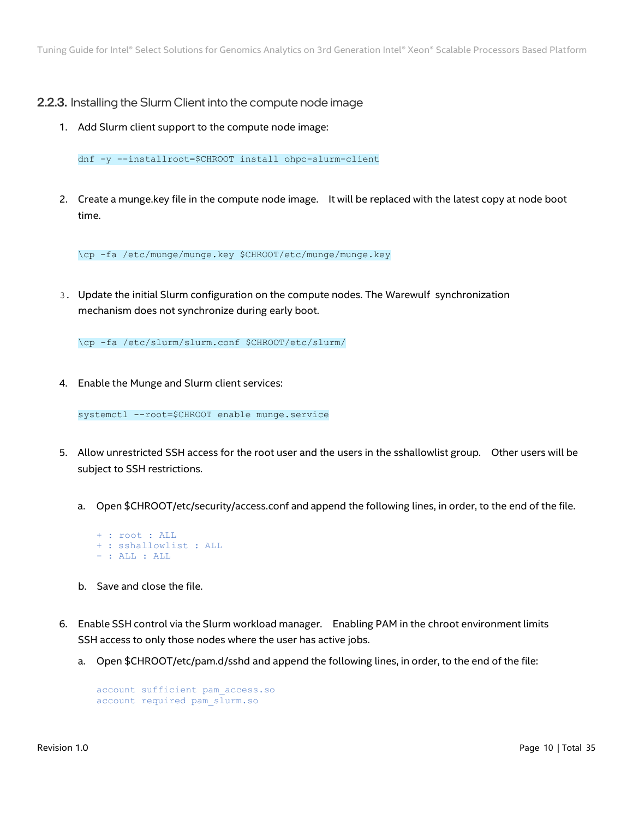## <span id="page-9-0"></span>2.2.3. Installing the Slurm Client into the compute node image

1. Add Slurm client support to the compute node image:

dnf -y --installroot=\$CHROOT install ohpc-slurm-client

2. Create a munge.key file in the compute node image. It will be replaced with the latest copy at node boot time.

\cp -fa /etc/munge/munge.key \$CHROOT/etc/munge/munge.key

3. Update the initial Slurm configuration on the compute nodes. The Warewulf synchronization mechanism does not synchronize during early boot.

\cp -fa /etc/slurm/slurm.conf \$CHROOT/etc/slurm/

4. Enable the Munge and Slurm client services:

systemctl --root=\$CHROOT enable munge.service

- 5. Allow unrestricted SSH access for the root user and the users in the sshallowlist group. Other users will be subject to SSH restrictions.
	- a. Open \$CHROOT/etc/security/access.conf and append the following lines, in order, to the end of the file.
		- + : root : ALL + : sshallowlist : ALL - : ALL : ALL
	- b. Save and close the file.
- 6. Enable SSH control via the Slurm workload manager. Enabling PAM in the chroot environment limits SSH access to only those nodes where the user has active jobs.
	- a. Open \$CHROOT/etc/pam.d/sshd and append the following lines, in order, to the end of the file:

```
account sufficient pam_access.so 
account required pam_slurm.so
```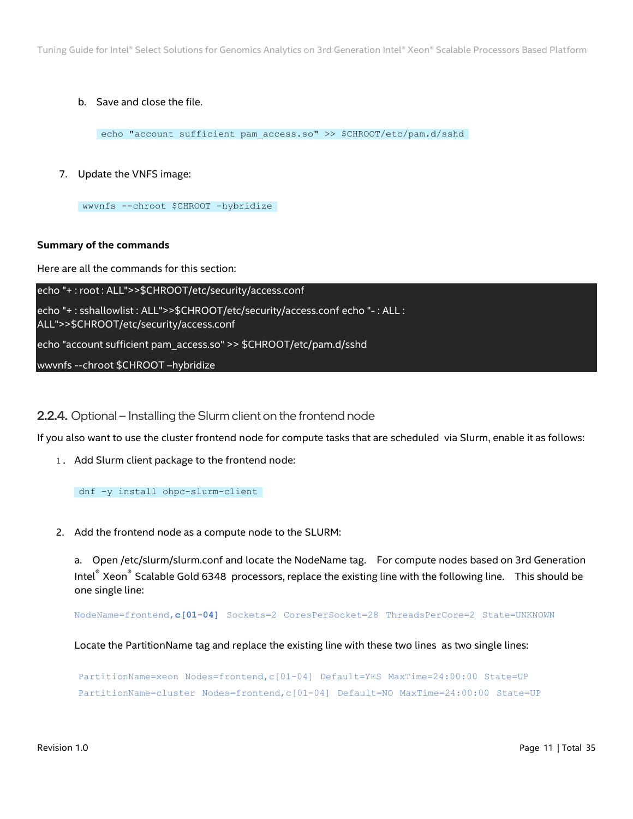b. Save and close the file.

echo "account sufficient pam access.so" >> \$CHROOT/etc/pam.d/sshd

7. Update the VNFS image:

wwvnfs --chroot \$CHROOT –hybridize

#### **Summary of the commands**

Here are all the commands for this section:

echo "+ : root : ALL">>\$CHROOT/etc/security/access.conf echo "+ : sshallowlist : ALL">>\$CHROOT/etc/security/access.conf echo "- : ALL : ALL">>\$CHROOT/etc/security/access.conf echo "account sufficient pam\_access.so" >> \$CHROOT/etc/pam.d/sshd wwvnfs --chroot \$CHROOT –hybridize

<span id="page-10-0"></span>2.2.4. Optional – Installing the Slurm client on the frontend node

If you also want to use the cluster frontend node for compute tasks that are scheduled via Slurm, enable it as follows:

1. Add Slurm client package to the frontend node:

dnf -y install ohpc-slurm-client

2. Add the frontend node as a compute node to the SLURM:

a. Open /etc/slurm/slurm.conf and locate the NodeName tag. For compute nodes based on 3rd Generation Intel® Xeon® Scalable Gold 6348 processors, replace the existing line with the following line. This should be one single line:

NodeName=frontend,**c[01-04]** Sockets=2 CoresPerSocket=28 ThreadsPerCore=2 State=UNKNOWN

Locate the PartitionName tag and replace the existing line with these two lines as two single lines:

PartitionName=xeon Nodes=frontend,c[01-04] Default=YES MaxTime=24:00:00 State=UP PartitionName=cluster Nodes=frontend,c[01-04] Default=NO MaxTime=24:00:00 State=UP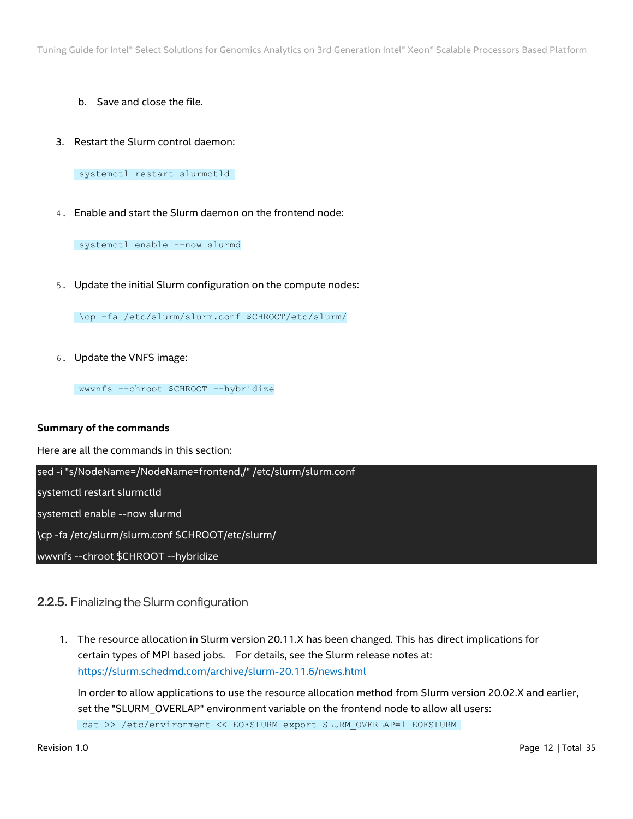- b. Save and close the file.
- 3. Restart the Slurm control daemon:

systemctl restart slurmctld

4. Enable and start the Slurm daemon on the frontend node:

systemctl enable --now slurmd

5. Update the initial Slurm configuration on the compute nodes:

\cp -fa /etc/slurm/slurm.conf \$CHROOT/etc/slurm/

6. Update the VNFS image:

wwvnfs --chroot \$CHROOT --hybridize

#### **Summary of the commands**

Here are all the commands in this section:

sed -i "s/NodeName=/NodeName=frontend,/" /etc/slurm/slurm.conf

systemctl restart slurmctld

systemctl enable --now slurmd

\cp -fa /etc/slurm/slurm.conf \$CHROOT/etc/slurm/

wwvnfs --chroot \$CHROOT --hybridize

# <span id="page-11-0"></span>2.2.5. Finalizing the Slurm configuration

1. The resource allocation in Slurm version 20.11.X has been changed. This has direct implications for certain types of MPI based jobs. For details, see the Slurm release notes at: <https://slurm.schedmd.com/archive/slurm-20.11.6/news.html>

In order to allow applications to use the resource allocation method from Slurm version 20.02.X and earlier, set the "SLURM\_OVERLAP" environment variable on the frontend node to allow all users: cat >> /etc/environment << EOFSLURM export SLURM\_OVERLAP=1 EOFSLURM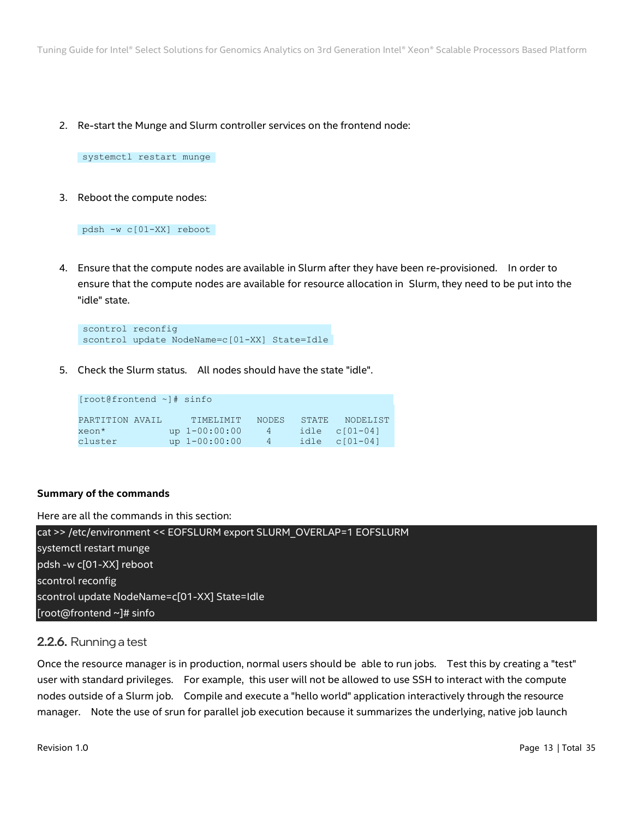2. Re-start the Munge and Slurm controller services on the frontend node:

systemctl restart munge

3. Reboot the compute nodes:

pdsh -w c[01-XX] reboot

4. Ensure that the compute nodes are available in Slurm after they have been re-provisioned. In order to ensure that the compute nodes are available for resource allocation in Slurm, they need to be put into the "idle" state.

```
scontrol reconfig 
scontrol update NodeName=c[01-XX] State=Idle
```
5. Check the Slurm status. All nodes should have the state "idle".

| [root@frontend ~]# sinfo |                 |              |       |                   |
|--------------------------|-----------------|--------------|-------|-------------------|
| PARTITION AVAIL          | TIMELINIT       | <b>NODES</b> | STATE | NODELIST          |
| xeon*                    | up $1-00:00:00$ | $-4$         |       | $idle$ $c[01-04]$ |
| cluster                  | up $1-00:00:00$ | 4            |       | idle $c[01-04]$   |

#### **Summary of the commands**

Here are all the commands in this section:

| cat >> /etc/environment << EOFSLURM export SLURM OVERLAP=1 EOFSLURM |  |
|---------------------------------------------------------------------|--|
| systemctl restart munge                                             |  |
| pdsh -w c[01-XX] reboot                                             |  |
| scontrol reconfig                                                   |  |
| scontrol update NodeName=c[01-XX] State=Idle                        |  |
| [root@frontend ~]# sinfo                                            |  |

# <span id="page-12-0"></span>2.2.6. Running a test

Once the resource manager is in production, normal users should be able to run jobs. Test this by creating a "test" user with standard privileges. For example, this user will not be allowed to use SSH to interact with the compute nodes outside of a Slurm job. Compile and execute a "hello world" application interactively through the resource manager. Note the use of srun for parallel job execution because it summarizes the underlying, native job launch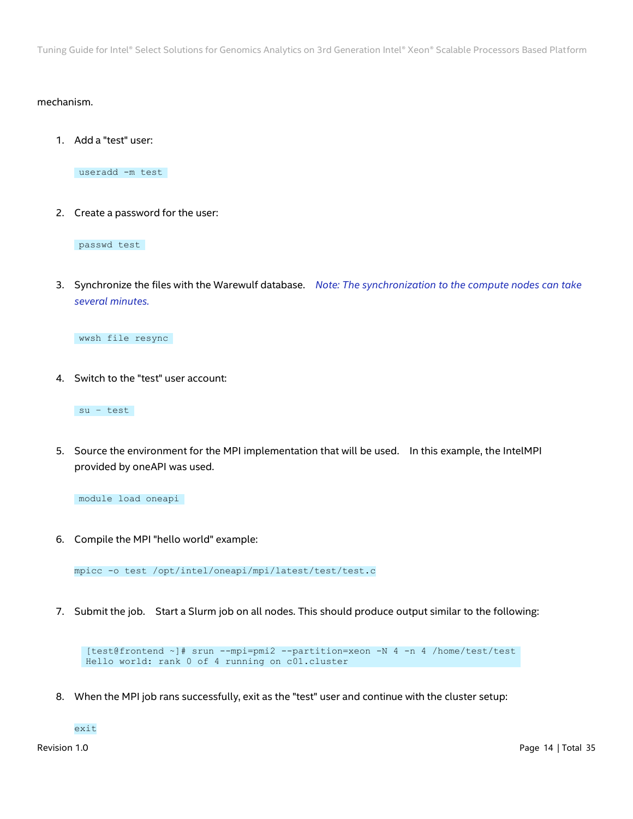#### mechanism.

1. Add a "test" user:

useradd -m test

2. Create a password for the user:

passwd test

3. Synchronize the files with the Warewulf database. *Note: The synchronization to the compute nodes can take several minutes.*

wwsh file resync

4. Switch to the "test" user account:

su – test

5. Source the environment for the MPI implementation that will be used. In this example, the IntelMPI provided by oneAPI was used.

module load oneapi

6. Compile the MPI "hello world" example:

mpicc -o test /opt/intel/oneapi/mpi/latest/test/test.c

7. Submit the job. Start a Slurm job on all nodes. This should produce output similar to the following:

```
[test@frontend ~]# srun --mpi=pmi2 --partition=xeon -N 4 -n 4 /home/test/test
Hello world: rank 0 of 4 running on c01.cluster
```
8. When the MPI job rans successfully, exit as the "test" user and continue with the cluster setup:

exit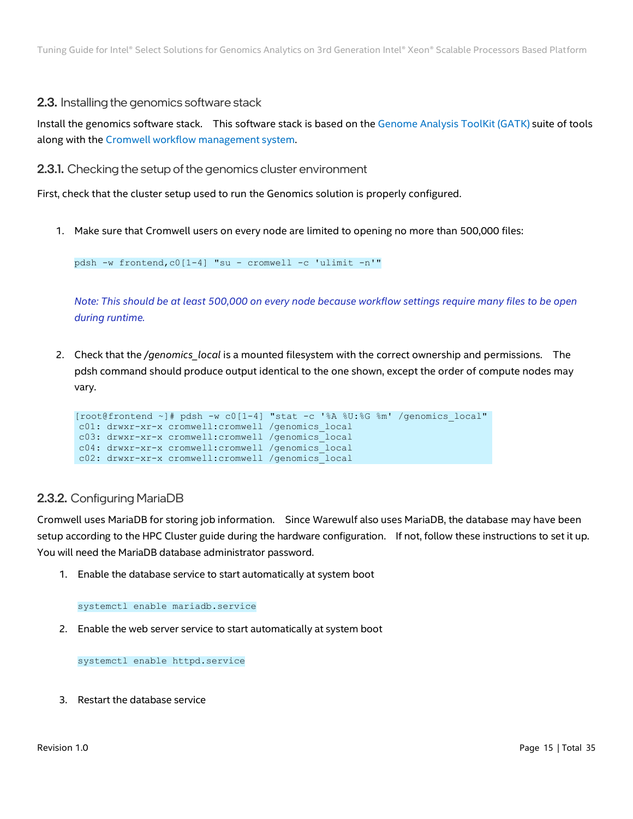# <span id="page-14-0"></span>2.3. Installing the genomics software stack

Install the genomics software stack. This software stack is based on the [Genome](https://gatk.broadinstitute.org/hc/en-us) Analysis ToolKit (GATK) suite of tools along with the Cromwell workflow [management](https://cromwell.readthedocs.io/en/stable/) system.

<span id="page-14-1"></span>2.3.1. Checking the setup of the genomics cluster environment

First, check that the cluster setup used to run the Genomics solution is properly configured.

1. Make sure that Cromwell users on every node are limited to opening no more than 500,000 files:

pdsh -w frontend,c0[1-4] "su - cromwell -c 'ulimit -n'"

*Note: This should be at least 500,000 on every node because workflow settings require many files to be open during runtime.*

2. Check that the */genomics\_local* is a mounted filesystem with the correct ownership and permissions. The pdsh command should produce output identical to the one shown, except the order of compute nodes may vary.

```
[root@frontend ~]# pdsh -w c0[1-4] "stat -c '%A %U:%G %m' /genomics_local" 
c01: drwxr-xr-x cromwell:cromwell /genomics_local 
c03: drwxr-xr-x cromwell:cromwell /genomics_local 
c04: drwxr-xr-x cromwell:cromwell /genomics_local 
c02: drwxr-xr-x cromwell:cromwell /genomics_local
```
# <span id="page-14-2"></span>2.3.2. Configuring MariaDB

Cromwell uses MariaDB for storing job information. Since Warewulf also uses MariaDB, the database may have been setup according to the HPC Cluster guide during the hardware configuration. If not, follow these instructions to set it up. You will need the MariaDB database administrator password.

1. Enable the database service to start automatically at system boot

```
systemctl enable mariadb.service
```
2. Enable the web server service to start automatically at system boot

systemctl enable httpd.service

3. Restart the database service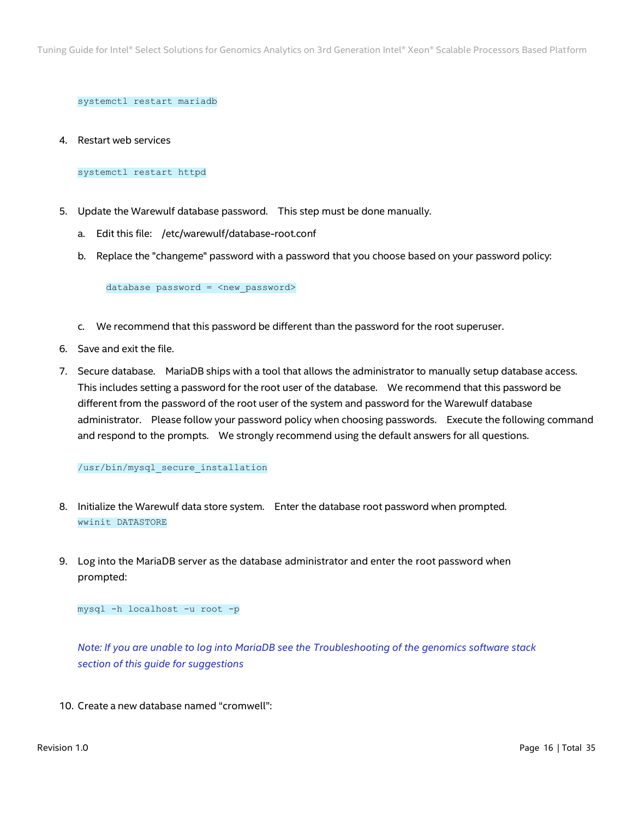systemctl restart mariadb

4. Restart web services

#### systemctl restart httpd

- 5. Update the Warewulf database password. This step must be done manually.
	- a. Edit this file: /etc/warewulf/database-root.conf
	- b. Replace the "changeme" password with a password that you choose based on your password policy:

database password = <new password>

- c. We recommend that this password be different than the password for the root superuser.
- 6. Save and exit the file.
- 7. Secure database. MariaDB ships with a tool that allows the administrator to manually setup database access. This includes setting a password for the root user of the database. We recommend that this password be different from the password of the root user of the system and password for the Warewulf database administrator. Please follow your password policy when choosing passwords. Execute the following command and respond to the prompts. We strongly recommend using the default answers for all questions.

#### /usr/bin/mysql\_secure\_installation

- 8. Initialize the Warewulf data store system. Enter the database root password when prompted. wwinit DATASTORE
- 9. Log into the MariaDB server as the database administrator and enter the root password when prompted:

mysql -h localhost -u root -p

*Note: If you are unable to log into MariaDB see the [Troubleshooting of the genomics software stack](#page-32-2) section [of this guide](#page-32-2) for suggestions*

10. Create a new database named "cromwell":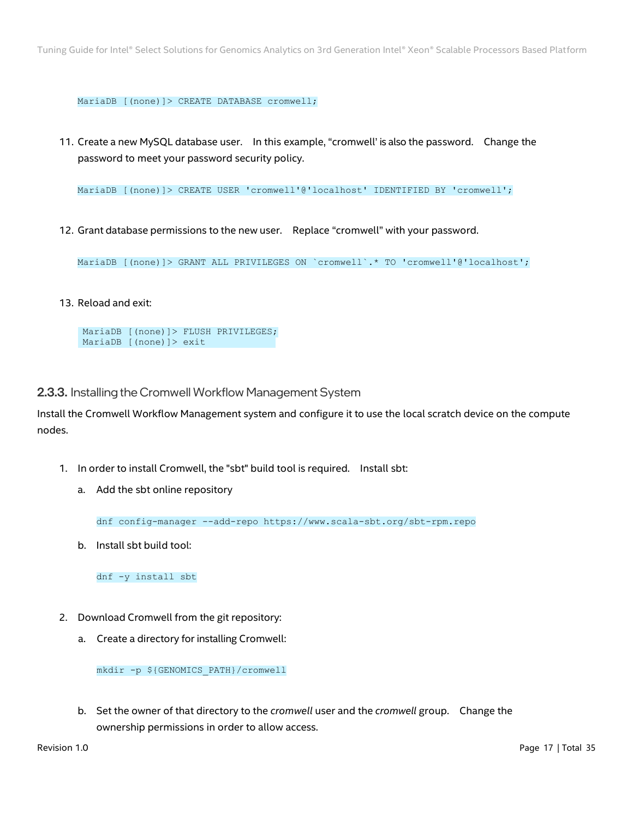MariaDB [(none)]> CREATE DATABASE cromwell;

11. Create a new MySQL database user. In this example, "cromwell' is also the password. Change the password to meet your password security policy.

MariaDB [(none)]> CREATE USER 'cromwell'@'localhost' IDENTIFIED BY 'cromwell';

12. Grant database permissions to the new user. Replace "cromwell" with your password.

MariaDB [(none)]> GRANT ALL PRIVILEGES ON `cromwell`.\* TO 'cromwell'@'localhost';

13. Reload and exit:

MariaDB [(none)]> FLUSH PRIVILEGES; MariaDB [(none)]> exit

<span id="page-16-0"></span>2.3.3. Installing the Cromwell Workflow Management System

Install the Cromwell Workflow Management system and configure it to use the local scratch device on the compute nodes.

- 1. In order to install Cromwell, the "sbt" build tool is required. Install sbt:
	- a. Add the sbt online repository

dnf config-manager --add-repo https://www.scala-sbt.org/sbt-rpm.repo

b. Install sbt build tool:

dnf -y install sbt

- 2. Download Cromwell from the git repository:
	- a. Create a directory for installing Cromwell:

mkdir -p \${GENOMICS\_PATH}/cromwell

b. Set the owner of that directory to the *cromwell* user and the *cromwell* group. Change the ownership permissions in order to allow access.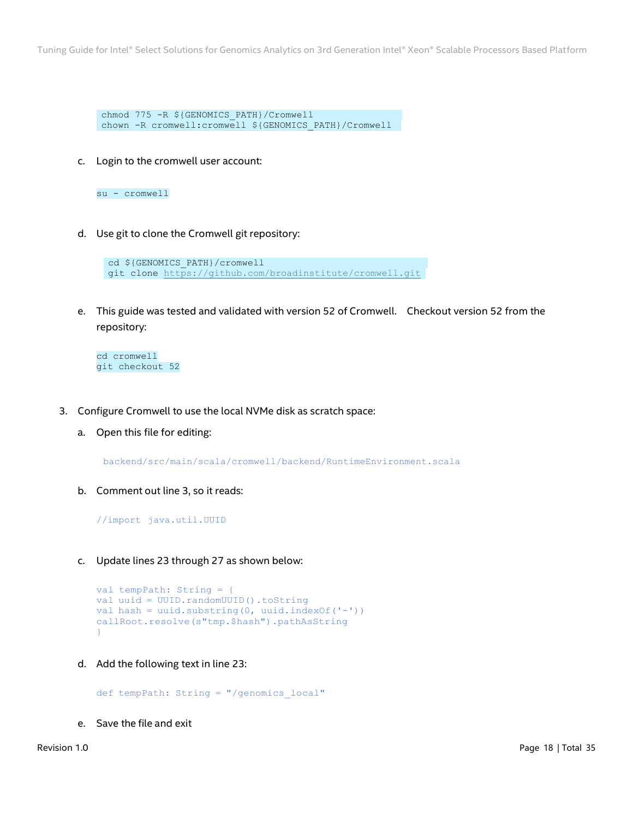chmod 775 -R \${GENOMICS\_PATH}/Cromwell chown -R cromwell:cromwell \${GENOMICS\_PATH}/Cromwell

c. Login to the cromwell user account:

su - cromwell

d. Use git to clone the Cromwell git repository:

cd \${GENOMICS\_PATH}/cromwell git clone<https://github.com/broadinstitute/cromwell.git>

e. This guide was tested and validated with version 52 of Cromwell. Checkout version 52 from the repository:

cd cromwell git checkout 52

- 3. Configure Cromwell to use the local NVMe disk as scratch space:
	- a. Open this file for editing:

backend/src/main/scala/cromwell/backend/RuntimeEnvironment.scala

b. Comment out line 3, so it reads:

//import java.util.UUID

c. Update lines 23 through 27 as shown below:

```
val tempPath: String = {
val uuid = UUID.randomUUID().toString
val hash = uuid.substring(0, uuid.indexOf('-'))callRoot.resolve(s"tmp.$hash").pathAsString
}
```
d. Add the following text in line 23:

def tempPath: String = "/genomics\_local"

e. Save the file and exit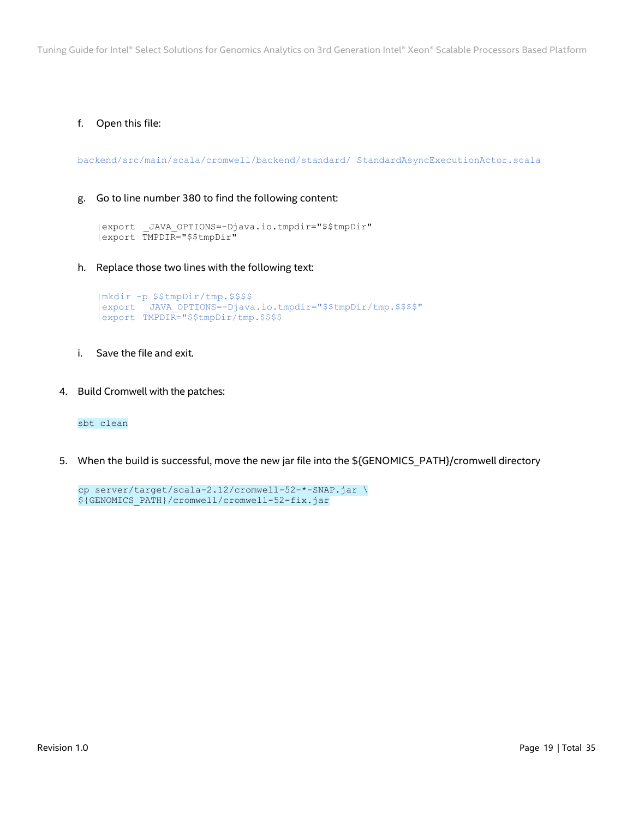## f. Open this file:

backend/src/main/scala/cromwell/backend/standard/ StandardAsyncExecutionActor.scala

#### g. Go to line number 380 to find the following content:

```
|export _JAVA_OPTIONS=-Djava.io.tmpdir="$$tmpDir"
|export TMPDIR="$$tmpDir"
```
h. Replace those two lines with the following text:

```
|mkdir -p $$tmpDir/tmp.$$$$
|export _JAVA_OPTIONS=-Djava.io.tmpdir="$$tmpDir/tmp.$$$$"
|export TMPDIR="$$tmpDir/tmp.$$$$
```
- i. Save the file and exit.
- 4. Build Cromwell with the patches:

sbt clean

5. When the build is successful, move the new jar file into the \${GENOMICS\_PATH}/cromwell directory

```
cp server/target/scala-2.12/cromwell-52-*-SNAP.jar \
${GENOMICS_PATH}/cromwell/cromwell-52-fix.jar
```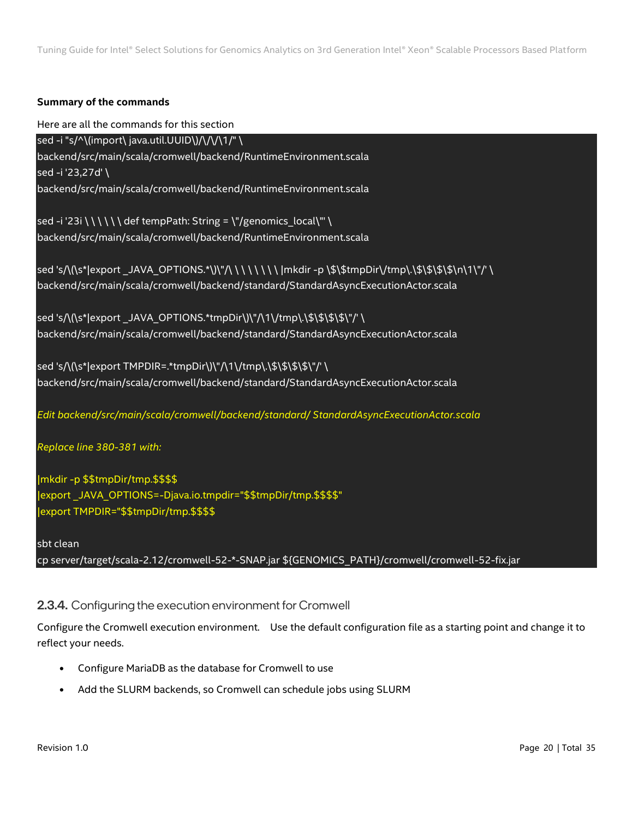## **Summary of the commands**

Here are all the commands for this section

sed -i "s/^\(import\ java.util.UUID\)/\/\/\1/" \ backend/src/main/scala/cromwell/backend/RuntimeEnvironment.scala sed -i '23,27d' \ backend/src/main/scala/cromwell/backend/RuntimeEnvironment.scala

sed -i '23i \ \ \ \ \ \ def tempPath: String = \"/genomics\_local\"' \ backend/src/main/scala/cromwell/backend/RuntimeEnvironment.scala

sed 's/\(\s\*|export \_JAVA\_OPTIONS.\*\)\"/\ \ \ \ \ \ \ \ \ mkdir -p \\$\\$tmpDir\/tmp\.\\$\\$\\$\\$\N\1\"/' \ backend/src/main/scala/cromwell/backend/standard/StandardAsyncExecutionActor.scala

sed 's/\(\s\*|export JAVA\_OPTIONS.\*tmpDir\)\"/\1\/tmp\.\\$\\$\\$\\$\"/' \ backend/src/main/scala/cromwell/backend/standard/StandardAsyncExecutionActor.scala

sed 's/\(\s\*|export TMPDIR=.\*tmpDir\)\"/\1\/tmp\.\\$\\$\\$\\$\"/' \ backend/src/main/scala/cromwell/backend/standard/StandardAsyncExecutionActor.scala

*Edit backend/src/main/scala/cromwell/backend/standard/ StandardAsyncExecutionActor.scala* 

*Replace line 380-381 with:*

|mkdir -p \$\$tmpDir/tmp.\$\$\$\$ |export \_JAVA\_OPTIONS=-Djava.io.tmpdir="\$\$tmpDir/tmp.\$\$\$\$" |export TMPDIR="\$\$tmpDir/tmp.\$\$\$\$

sbt clean

cp server/target/scala-2.12/cromwell-52-\*-SNAP.jar \${GENOMICS\_PATH}/cromwell/cromwell-52-fix.jar

# <span id="page-19-0"></span>2.3.4. Configuring the execution environment for Cromwell

Configure the Cromwell execution environment. Use the default configuration file as a starting point and change it to reflect your needs.

- Configure MariaDB as the database for Cromwell to use
- Add the SLURM backends, so Cromwell can schedule jobs using SLURM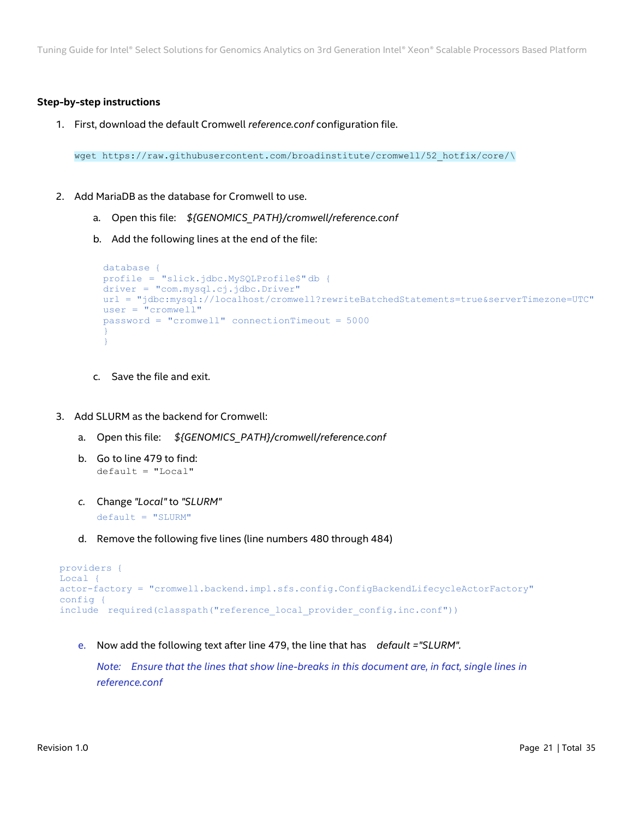#### **Step-by-step instructions**

1. First, download the default Cromwell *reference.conf* configuration file.

wget https://raw.githubusercontent.com/broadinstitute/cromwell/52\_hotfix/core/\

- 2. Add MariaDB as the database for Cromwell to use.
	- a. Open this file: *\${GENOMICS\_PATH}/cromwell/reference.conf*
	- b. Add the following lines at the end of the file:

```
database {
profile = "slick.jdbc.MySQLProfile$" db {
driver = "com.mysql.cj.jdbc.Driver"
url = "jdbc:mysql://localhost/cromwell?rewriteBatchedStatements=true&serverTimezone=UTC"
user = "cromwell"password = "cromwell" connectionTimeout = 5000
}
}
```
- c. Save the file and exit.
- 3. Add SLURM as the backend for Cromwell:
	- a. Open this file: *\${GENOMICS\_PATH}/cromwell/reference.conf*
	- b. Go to line 479 to find: default = "Local"
	- *c.* Change *"Local"* to *"SLURM"*  $default = "SLURM"$
	- d. Remove the following five lines (line numbers 480 through 484)

```
providers {
Local {
actor-factory = "cromwell.backend.impl.sfs.config.ConfigBackendLifecycleActorFactory"
config {
include required(classpath("reference local provider config.inc.conf"))
```
e. Now add the following text after line 479, the line that has *default ="SLURM".* 

*Note:* Ensure that the lines that show line-breaks in this document are, in fact, single lines in *reference.conf*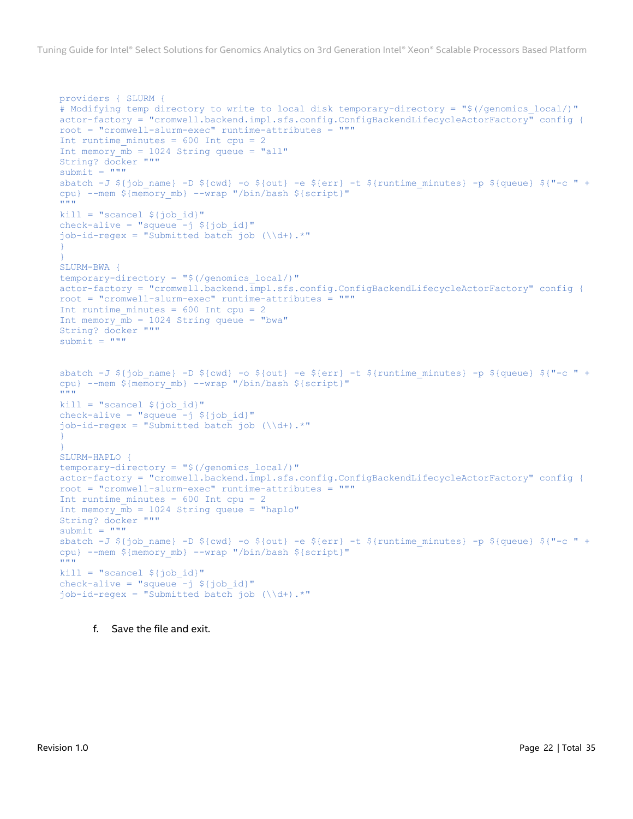```
providers { SLURM {
# Modifying temp directory to write to local disk temporary-directory = "$(/genomics local/)"
actor-factory = "cromwell.backend.impl.sfs.config.ConfigBackendLifecycleActorFactory" config {
root = "cromwell-slurm-exec" runtime-attributes = """
Int runtime minutes = 600 Int cpu = 2
Int memory \overline{mb} = 1024 String queue = "all"
String? docker """
submit = """"sbatch -J ${job name} -D ${cwd} -o ${out} -e ${err} -t ${runtime minutes} -p ${queue} ${"-c " +
cpu} --mem ${meanymb} --wrap "/bin/bash ${script}"
\overline{\mathbf{u}} \overline{\mathbf{u}}kill = "scancel \S{job id}"
check-alive = "squeue -j ${job id}"
job-id-regex = "Submitted batch job (\\d+).*"
}
}
SLURM-BWA {
temporary-directory = "$(/genomics_local/)"
actor-factory = "cromwell.backend.impl.sfs.config.ConfigBackendLifecycleActorFactory" config {
root = "cromwell-slurm-exec" runtime-attributes = """
Int runtime minutes = 600 Int cpu = 2
Int memory \overline{mb} = 1024 String queue = "bwa"
String? docker """
submit = """"sbatch -J \S{job_name} -D \S{cwd} -o \S{out} -e \S{err} -t \S{runtime_minutes} -p \S{queue} \S{"-c " +
cpu} --mem ${memory mb} --wrap "/bin/bash ${script}"
"""
kill = "scanced \{job id}"
check-alive = "squeue -j \S{job id}"
job-id-reqex = "Submitted batch job (\\\d+).*"}
}
SLURM-HAPLO {
temporary-directory = "$(/genomics_local/)"
actor-factory = "cromwell.backend.impl.sfs.config.ConfigBackendLifecycleActorFactory" config {
root = "cromwell-slurm-exec" runtime-attributes = """
Int runtime minutes = 600 Int cpu = 2
Int memory_mb = 1024 String queue = "haplo"
String? docker """
submit = """"sbatch -J ${job_name} -D ${cwd} -o ${out} -e ${err} -t ${runtime_minutes} -p ${queue} ${"-c " +
cpu} --mem ${memory mb} --wrap "/bin/bash ${script}"
"""
kill = "scanced \{job id}"
check-alive = "squeue -j ${job_id}"
job-id-reqex = "Submitted batch job (\\\d+).*"
```

```
f. Save the file and exit.
```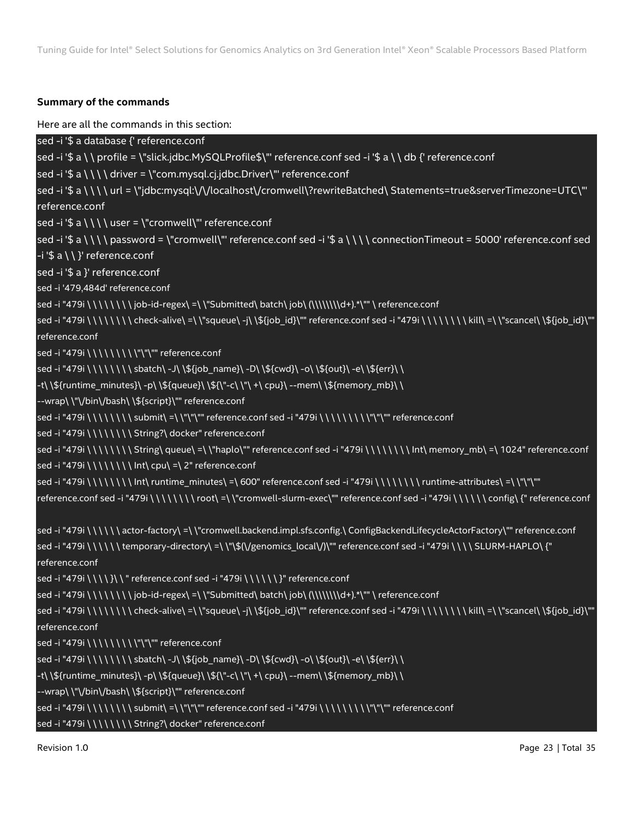## **Summary of the commands**

Here are all the commands in this section:

```
sed -i '$ a database {' reference.conf
sed -i '$ a \ \ profile = \"slick.jdbc.MySQLProfile$\"' reference.conf sed -i '$ a \ \ db {' reference.conf
sed -i '$ a \setminus \ \ driver = \"com.mysql.cj.jdbc.Driver\"' reference.conf
sed -i '$ a \ \ \ \ url = \"jdbc:mysql:\/\/localhost\/cromwell\?rewriteBatched\ Statements=true&serverTimezone=UTC\"' 
reference.conf
sed -i '$ a \setminus \ \ \ user = \"cromwell\"' reference.conf
sed -i '$ a \ \ \ \ password = \"cromwell\"' reference.conf sed -i '$ a \ \ \ \ connectionTimeout = 5000' reference.conf sed
-i '$ a \ \ }' reference.conf
sed -i '$ a }' reference.conf
sed -i '479,484d' reference.conf
sed -i "479i \ \ \ \ \ \ \ \ job-id-regex\ =\ \"Submitted\ batch\ job\ (\\\\\\\d+).*\"" \ reference.conf
sed -i "479i \ \ \ \ \ \ \ \ check-alive\ =\ \"squeue\ -j\ \${job_id}\"" reference.conf sed -i "479i \ \ \ \ \ \ \ \ kill\ =\ \"scancel\ \${job_id}\"" 
reference.conf
sed -i "479i \ \ \ \ \ \ \ \ \"\"\"" reference.conf
sed -i "479i \ \ \ \ \ \ \ \ sbatch\ -J\ \${job_name}\ -D\ \${cwd}\ -o\ \${out}\ -e\ \${err}\ \
-t\ \${runtime_minutes}\ -p\ \${queue}\ \${\"-c\ \"\ +\ cpu}\ --mem\ \${memory_mb}\ \
--wrap\ \"\/bin\/bash\ \${script}\"" reference.conf
sed -i "479i \setminus \setminus \setminus \setminus \setminus \setminus \mathsf{submit} = \\ \mathsf{u} \ reference.conf sed -i "479i \setminus \setminus \setminus \setminus \setminus \setminus \mathsf{u} \ reference.conf
sed -i "479i \\\\\\\\\\ String?\ docker" reference.conf
sed -i "479i \ \ \ \ \ \ \ \ String\ queue\ =\ \"haplo\"" reference.conf sed -i "479i \ \ \ \ \ \ \ \ \ \ nt\ memory_mb\ =\ 1024" reference.conf
sed -i "479i \ \ \ \ \ \ \ \ Int\ cpu\ =\ 2" reference.conf
sed -i "479i \ \ \ \ \ \ \ \ \ nt\ runtime_minutes\ =\ 600" reference.conf sed -i "479i \ \ \ \ \ \ \ \ \ runtime-attributes\ =\ \"\"\""
reference.conf sed -i "479i \ \ \ \ \ \ \ \ root\ =\ \"cromwell-slurm-exec\"" reference.conf sed -i "479i \ \ \ \ \ \ config\ {" reference.conf
sed -i "479i \ \ \ \ \ \ actor-factory\ =\ \"cromwell.backend.impl.sfs.config.\ ConfigBackendLifecycleActorFactory\"" reference.conf
sed -i "479i \ \ \ \ \ \ temporary-directory\ =\ \"\$(\/genomics_local\/)\"" reference.conf sed -i "479i \ \ \ \ SLURM-HAPLO\ {" 
reference.conf
sed -i "479i \ \ \ \ }\ \ " reference.conf sed -i "479i \ \ \ \ \ \ }" reference.conf
sed -i "479i \ \ \ \ \ \ \ \ job-id-regex\ =\ \"Submitted\ batch\ job\ (\\\\\\\d+).*\"" \ reference.conf
sed -i "479i \ \ \ \ \ \ \ \ check-alive\ =\ \"squeue\ -j\ \${job_id}\"" reference.conf sed -i "479i \ \ \ \ \ \ \ \ kill\ =\ \"scancel\ \${job_id}\"" 
reference.conf
sed -i "479i \ \ \ \ \ \ \ \ \"\"\"" reference.conf
sed -i "479i \ \ \ \ \ \ \ \ sbatch\ -J\ \${job_name}\ -D\ \${cwd}\ -o\ \${out}\ -e\ \${err}\ \
-t\ \${runtime_minutes}\ -p\ \${queue}\ \${\"-c\ \"\ +\ cpu}\ --mem\ \${memory_mb}\ \
--wrap\ \"\/bin\/bash\ \${script}\"" reference.conf
sed -i "479i \setminus \setminus \setminus \setminus \setminus \setminus \mathsf{submit} = \\ \mathsf{u} \ reference.conf sed -i "479i \setminus \setminus \setminus \setminus \setminus \setminus \mathsf{u} \ reference.conf
sed -i "479i \ \ \ \ \ \ \ \ \ String?\ docker" reference.conf
```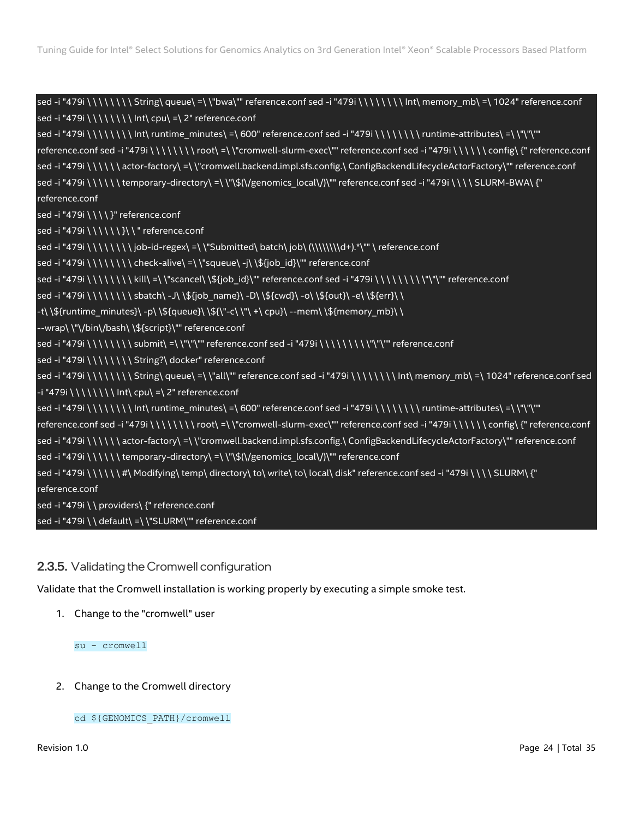sed -i "479i \ \ \ \ \ \ \ \ String\ queue\ =\ \"bwa\"" reference.conf sed -i "479i \ \ \ \ \ \ \ \ \ nt\ memory mb\ =\ 1024" reference.conf sed -i "479i \ \ \ \ \ \ \ \ Int\ cpu\ =\ 2" reference.conf sed -i "479i \ \ \ \ \ \ \ \ Int\ runtime\_minutes\ =\ 600" reference.conf sed -i "479i \ \ \ \ \ \ \ \ runtime-attributes\ =\ \"\"\"" reference.conf sed -i "479i \ \ \ \ \ \ \ \ root\ =\ \"cromwell-slurm-exec\"" reference.conf sed -i "479i \ \ \ \ \ \ config\ {" reference.conf sed -i "479i \ \ \ \ \ \ actor-factory\ =\ \"cromwell.backend.impl.sfs.config.\ ConfigBackendLifecycleActorFactory\"" reference.conf sed -i "479i \ \ \ \ \ \ temporary-directory\ =\ \"\\$(\/genomics\_local\/)\"" reference.conf sed -i "479i \ \ \ \ SLURM-BWA\ {" reference.conf sed -i "479i \ \ \ \ }" reference.conf sed -i "479i \ \ \ \ \ \ \ }\ \ " reference.conf sed -i "479i \\\\\\\\)ob-id-regex\ =\\"Submitted\ batch\ job\ (\\\\\\\d+).\*\"" \ reference.conf sed -i "479i \ \ \ \ \ \ \ \ check-alive\ =\ \"squeue\ -j\ \\${job\_id}\"" reference.conf sed -i "479i \ \ \ \ \ \ \ \ kill\ =\ \"scancel\ \\${job\_id}\"" reference.conf sed -i "479i \ \ \ \ \ \ \ \ \"\"\"" reference.conf sed -i "479i \ \ \ \ \ \ \ \ sbatch\ -J\ \\${job\_name}\ -D\ \\${cwd}\ -o\ \\${out}\ -e\ \\${err}\ \ -t\ \\${runtime\_minutes}\ -p\ \\${queue}\ \\${\"-c\ \"\ +\ cpu}\ --mem\ \\${memory\_mb}\ \ --wrap\ \"\/bin\/bash\ \\${script}\"" reference.conf  $s$ ed -i "479i  $\setminus \setminus \setminus \setminus \setminus \mathcal{S}$ ubmit $\setminus \setminus \setminus \setminus \setminus \mathcal{S}'$ " reference.conf sed -i "479i  $\setminus \setminus \setminus \setminus \setminus \setminus \setminus \setminus \setminus \mathcal{S}'$ " reference.conf sed -i "479i \ \ \ \ \ \ \ \ String?\ docker" reference.conf sed -i "479i \ \ \ \ \ \ \ \ String\ queue\ =\ \"all\"" reference.conf sed -i "479i \ \ \ \ \ \ \ \ Int\ memory\_mb\ =\ 1024" reference.conf sed -i "479i \ \ \ \ \ \ \ \ Int\ cpu\ =\ 2" reference.conf sed -i "479i \ \ \ \ \ \ \ \ \ Int\ runtime\_minutes\ =\ 600" reference.conf sed -i "479i \ \ \ \ \ \ \ \ \ \ runtime-attributes\ =\ \"\"\"" reference.conf sed -i "479i \ \ \ \ \ \ \ \ root\ =\ \"cromwell-slurm-exec\"" reference.conf sed -i "479i \ \ \ \ \ \ config\ {" reference.conf sed -i "479i \ \ \ \ \ \ actor-factory\ =\ \"cromwell.backend.impl.sfs.config.\ ConfigBackendLifecycleActorFactory\"" reference.conf sed -i "479i \ \ \ \ \ \ temporary-directory\ =\ \"\\$(\/genomics\_local\/)\"" reference.conf sed -i "479i \ \ \ \ \ \ #\ Modifying\ temp\ directory\ to\ write\ to\ local\ disk" reference.conf sed -i "479i \ \ \ \ SLURM\ {" reference.conf sed -i "479i \ \ providers\ {" reference.conf sed -i "479i \ \ default\ =\ \"SLURM\"" reference.conf

# <span id="page-23-0"></span>2.3.5. Validating the Cromwell configuration

Validate that the Cromwell installation is working properly by executing a simple smoke test.

1. Change to the "cromwell" user

su - cromwell

2. Change to the Cromwell directory

cd \${GENOMICS\_PATH}/cromwell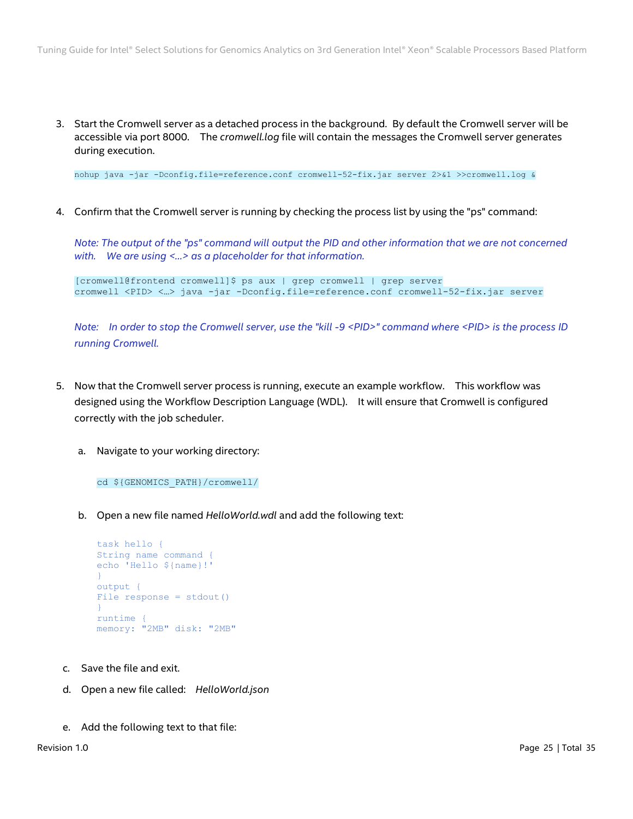3. Start the Cromwell server as a detached process in the background. By default the Cromwell server will be accessible via port 8000. The *cromwell.log* file will contain the messages the Cromwell server generates during execution.

nohup java -jar -Dconfig.file=reference.conf cromwell-52-fix.jar server 2>&1 >>cromwell.log &

4. Confirm that the Cromwell server is running by checking the process list by using the "ps" command:

*Note: The output of the "ps" command will output the PID and other information that we are not concerned with. We are using <…> as a placeholder for that information.*

[cromwell@frontend cromwell]\$ ps aux | grep cromwell | grep server cromwell <PID> <…> java -jar -Dconfig.file=reference.conf cromwell-52-fix.jar server

*Note: In order to stop the Cromwell server, use the "kill -9 <PID>" command where <PID> is the process ID running Cromwell.*

- 5. Now that the Cromwell server process is running, execute an example workflow. This workflow was designed using the Workflow Description Language (WDL). It will ensure that Cromwell is configured correctly with the job scheduler.
	- a. Navigate to your working directory:

cd \${GENOMICS\_PATH}/cromwell/

b. Open a new file named *HelloWorld.wdl* and add the following text:

```
task hello {
String name command {
echo 'Hello ${name}!'
}
output {
File response = stdout()
}
runtime {
memory: "2MB" disk: "2MB"
```
- c. Save the file and exit.
- d. Open a new file called: *HelloWorld.json*
- e. Add the following text to that file: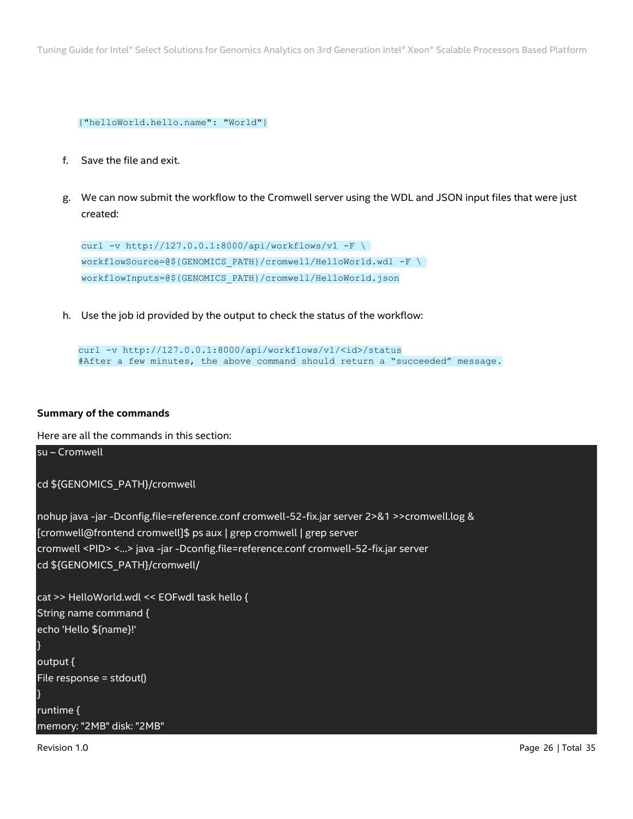```
{"helloWorld.hello.name": "World"}
```
- f. Save the file and exit.
- g. We can now submit the workflow to the Cromwell server using the WDL and JSON input files that were just created:

```
curl -v http://127.0.0.1:8000/api/workflows/v1 -F \
workflowSource=@${GENOMICS_PATH}/cromwell/HelloWorld.wdl -F \
workflowInputs=@${GENOMICS_PATH}/cromwell/HelloWorld.json
```
h. Use the job id provided by the output to check the status of the workflow:

```
curl -v http://127.0.0.1:8000/api/workflows/v1/<id>/status
#After a few minutes, the above command should return a "succeeded" message.
```
#### **Summary of the commands**

Here are all the commands in this section:

```
Revision 1.0 Page 26 | Total 35
su – Cromwell
cd ${GENOMICS_PATH}/cromwell
nohup java -jar -Dconfig.file=reference.conf cromwell-52-fix.jar server 2>&1 >>cromwell.log &
[cromwell@frontend cromwell]$ ps aux | grep cromwell | grep server
cromwell <PID> <…> java -jar -Dconfig.file=reference.conf cromwell-52-fix.jar server
cd ${GENOMICS_PATH}/cromwell/
cat >> HelloWorld.wdl << EOFwdl task hello {
String name command {
echo 'Hello ${name}!'
}
output {
File response = stdout()
}
runtime {
memory: "2MB" disk: "2MB"
```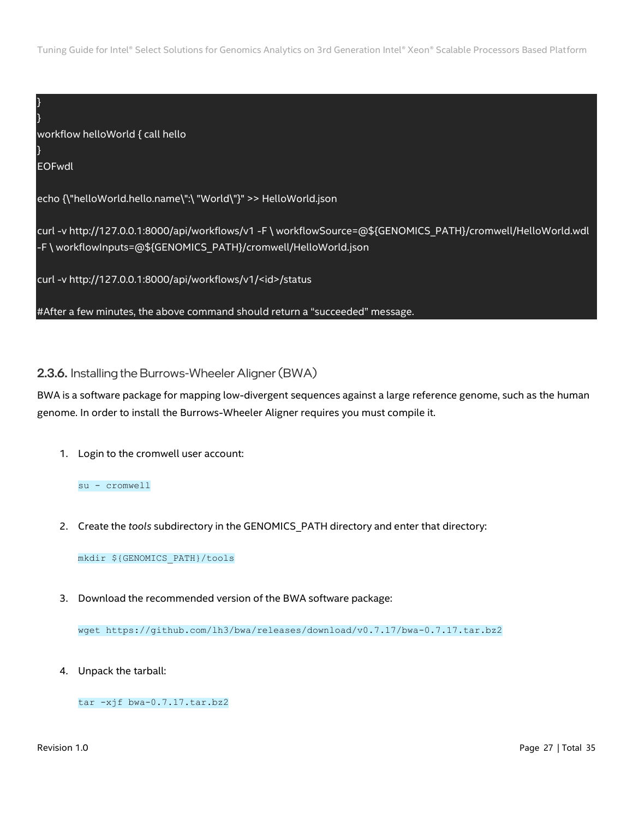} EOFwdl echo {\"helloWorld.hello.name\":\ "World\"}" >> HelloWorld.json curl -v http://127.0.0.1:8000/api/workflows/v1 -F \ workflowSource=@\${GENOMICS\_PATH}/cromwell/HelloWorld.wdl -F \ workflowInputs=@\${GENOMICS\_PATH}/cromwell/HelloWorld.json curl -v http://127.0.0.1:8000/api/workflows/v1/<id>/status #After a few minutes, the above command should return a "succeeded" message.

<span id="page-26-0"></span>2.3.6. Installing the Burrows-Wheeler Aligner (BWA)

BWA is a software package for mapping low-divergent sequences against a large reference genome, such as the human genome. In order to install the Burrows-Wheeler Aligner requires you must compile it.

1. Login to the cromwell user account:

su - cromwell

workflow helloWorld { call hello

2. Create the *tools* subdirectory in the GENOMICS\_PATH directory and enter that directory:

mkdir \${GENOMICS\_PATH}/tools

3. Download the recommended version of the BWA software package:

wget https://github.com/lh3/bwa/releases/download/v0.7.17/bwa-0.7.17.tar.bz2

4. Unpack the tarball:

tar -xjf bwa-0.7.17.tar.bz2

} }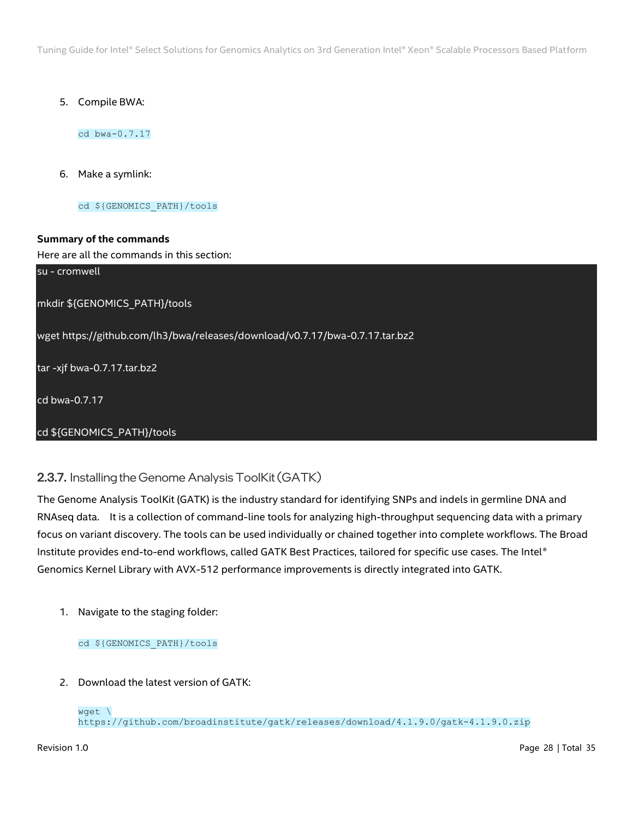5. Compile BWA:

cd bwa-0.7.17

6. Make a symlink:

cd \${GENOMICS\_PATH}/tools

# **Summary of the commands**

## Here are all the commands in this section:

su - cromwell

mkdir \${GENOMICS\_PATH}/tools

wget https://github.com/lh3/bwa/releases/download/v0.7.17/bwa-0.7.17.tar.bz2

tar -xjf bwa-0.7.17.tar.bz2

cd bwa-0.7.17

# cd \${GENOMICS\_PATH}/tools

# <span id="page-27-0"></span>2.3.7. Installing the Genome Analysis ToolKit(GATK)

The Genome Analysis ToolKit (GATK) is the industry standard for identifying SNPs and indels in germline DNA and RNAseq data. It is a collection of command-line tools for analyzing high-throughput sequencing data with a primary focus on variant discovery. The tools can be used individually or chained together into complete workflows. The Broad Institute provides end-to-end workflows, called GATK Best Practices, tailored for specific use cases. The Intel® Genomics Kernel Library with AVX-512 performance improvements is directly integrated into GATK.

1. Navigate to the staging folder:

cd \${GENOMICS\_PATH}/tools

2. Download the latest version of GATK:

wget \ https://github.com/broadinstitute/gatk/releases/download/4.1.9.0/gatk-4.1.9.0.zip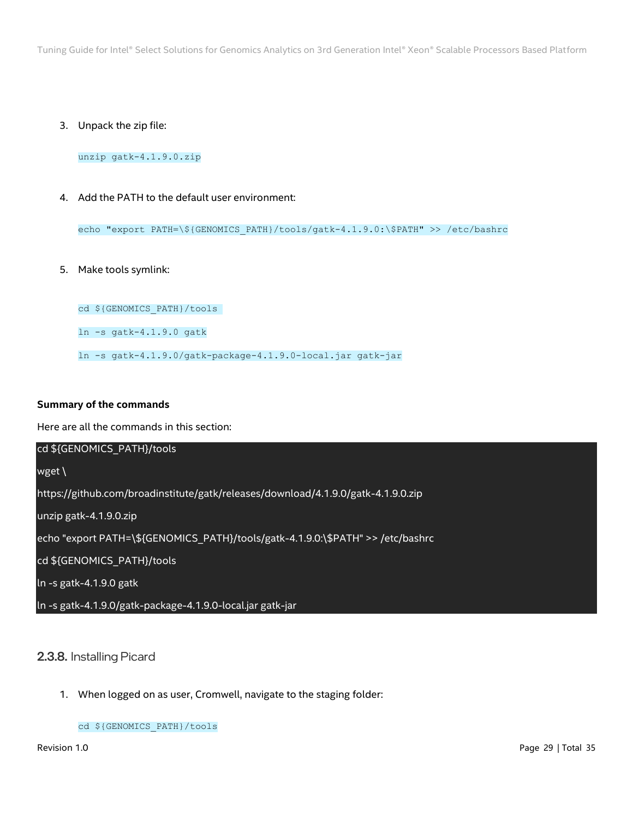3. Unpack the zip file:

unzip gatk-4.1.9.0.zip

4. Add the PATH to the default user environment:

echo "export PATH=\\${GENOMICS\_PATH}/tools/gatk-4.1.9.0:\\$PATH" >> /etc/bashrc

5. Make tools symlink:

cd \${GENOMICS\_PATH}/tools

ln -s gatk-4.1.9.0 gatk

ln -s gatk-4.1.9.0/gatk-package-4.1.9.0-local.jar gatk-jar

#### **Summary of the commands**

Here are all the commands in this section:

| cd \${GENOMICS PATH}/tools                                                        |
|-----------------------------------------------------------------------------------|
| wget \                                                                            |
| https://github.com/broadinstitute/gatk/releases/download/4.1.9.0/gatk-4.1.9.0.zip |
| unzip gatk-4.1.9.0.zip                                                            |
| echo "export PATH=\\${GENOMICS_PATH}/tools/gatk-4.1.9.0:\\$PATH" >> /etc/bashrc   |
| cd \${GENOMICS PATH}/tools                                                        |
| $\ln$ -s gatk-4.1.9.0 gatk                                                        |
| In -s gatk-4.1.9.0/gatk-package-4.1.9.0-local.jar gatk-jar                        |

# <span id="page-28-0"></span>2.3.8. Installing Picard

1. When logged on as user, Cromwell, navigate to the staging folder:

cd \${GENOMICS\_PATH}/tools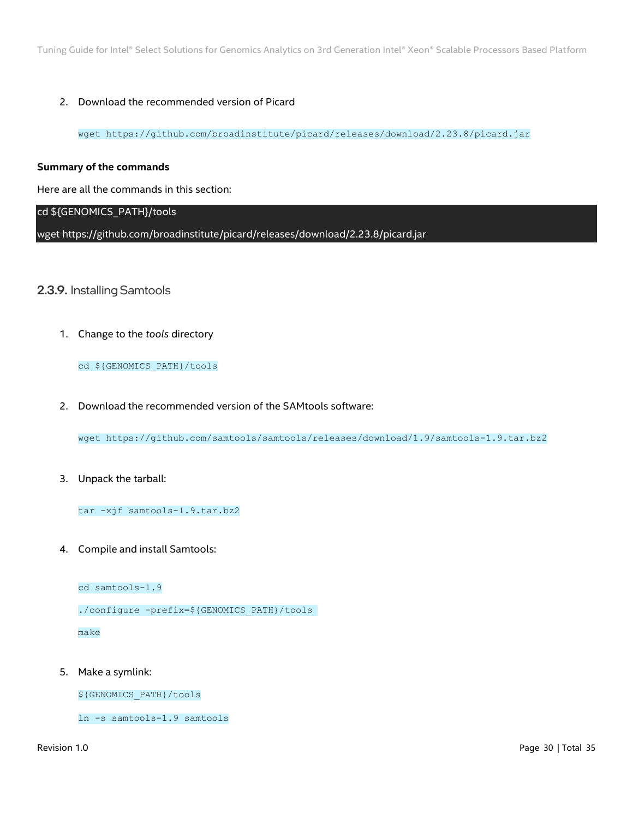## 2. Download the recommended version of Picard

wget https://github.com/broadinstitute/picard/releases/download/2.23.8/picard.jar

#### **Summary of the commands**

Here are all the commands in this section:

# cd \${GENOMICS\_PATH}/tools

wget https://github.com/broadinstitute/picard/releases/download/2.23.8/picard.jar

# <span id="page-29-0"></span>2.3.9. Installing Samtools

1. Change to the *tools* directory

#### cd \${GENOMICS\_PATH}/tools

2. Download the recommended version of the SAMtools software:

wget https://github.com/samtools/samtools/releases/download/1.9/samtools-1.9.tar.bz2

3. Unpack the tarball:

tar -xjf samtools-1.9.tar.bz2

4. Compile and install Samtools:

cd samtools-1.9

./configure -prefix=\${GENOMICS\_PATH}/tools

make

5. Make a symlink:

\${GENOMICS\_PATH}/tools

ln -s samtools-1.9 samtools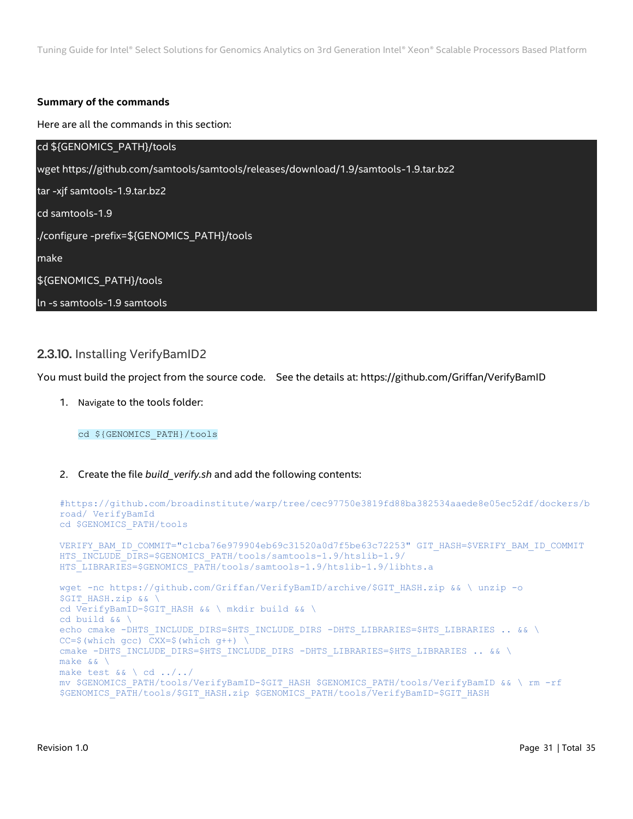#### **Summary of the commands**

Here are all the commands in this section:

| cd \${GENOMICS PATH}/tools                                                           |
|--------------------------------------------------------------------------------------|
| wget https://github.com/samtools/samtools/releases/download/1.9/samtools-1.9.tar.bz2 |
| tar -xjf samtools-1.9.tar.bz2                                                        |
| cd samtools-1.9                                                                      |
| ./configure -prefix=\${GENOMICS_PATH}/tools                                          |
| make                                                                                 |
| \${GENOMICS_PATH}/tools                                                              |
| In -s samtools-1.9 samtools                                                          |

# <span id="page-30-0"></span>2.3.10. Installing VerifyBamID2

You must build the project from the source code. See the details at: https://github.com/Griffan/VerifyBamID

1. Navigate to the tools folder:

cd \${GENOMICS\_PATH}/tools

2. Create the file *build\_verify.sh* and add the following contents:

```
#https://github.com/broadinstitute/warp/tree/cec97750e3819fd88ba382534aaede8e05ec52df/dockers/b
road/ VerifyBamId
cd $GENOMICS_PATH/tools
VERIFY_BAM_ID_COMMIT="c1cba76e979904eb69c31520a0d7f5be63c72253" GIT_HASH=$VERIFY_BAM_ID_COMMIT
HTS INCLUDE DIRS=$GENOMICS_PATH/tools/samtools-1.9/htslib-1.9/
HTS LIBRARIES=$GENOMICS PATH/tools/samtools-1.9/htslib-1.9/libhts.a
wget -nc https://github.com/Griffan/VerifyBamID/archive/$GIT_HASH.zip && \ unzip -o
$GIT HASH.zip && \
cd VerifyBamID-$GIT_HASH && \ mkdir build && \
cd build && \
echo cmake -DHTS_INCLUDE_DIRS=$HTS_INCLUDE_DIRS -DHTS_LIBRARIES=$HTS_LIBRARIES .. && \
CC=\$(which gcc) CXX=\$(which g++) \
cmake -DHTS_INCLUDE_DIRS=$HTS_INCLUDE_DIRS -DHTS_LIBRARIES=$HTS_LIBRARIES .. && \
make && \
make test && \ cd ../../
mv $GENOMICS PATH/tools/VerifyBamID-$GIT HASH $GENOMICS PATH/tools/VerifyBamID && \ rm -rf
$GENOMICS_PATH/tools/$GIT_HASH.zip $GENOMICS_PATH/tools/VerifyBamID-$GIT_HASH
```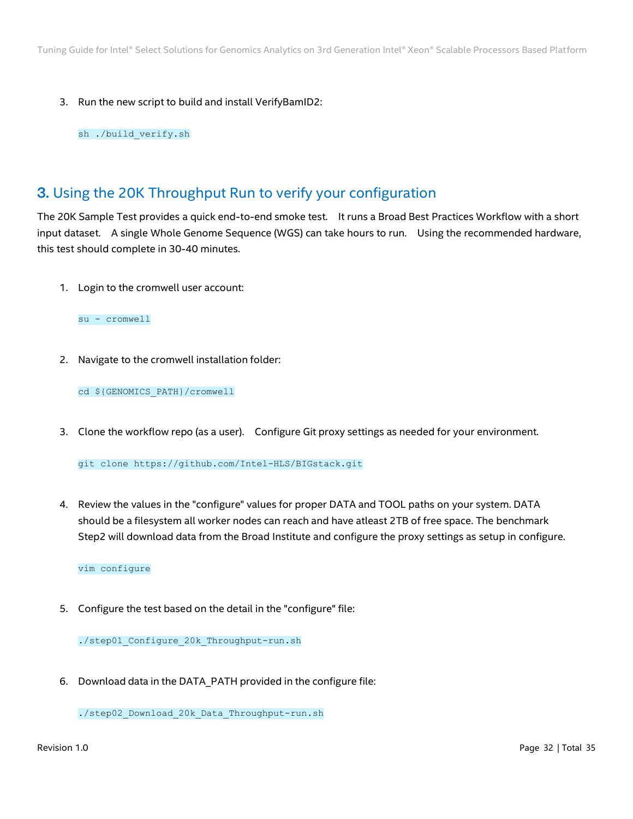3. Run the new script to build and install VerifyBamID2:

sh ./build\_verify.sh

# <span id="page-31-0"></span>3. Using the 20K Throughput Run to verify your configuration

The 20K Sample Test provides a quick end-to-end smoke test. It runs a Broad Best Practices Workflow with a short input dataset. A single Whole Genome Sequence (WGS) can take hours to run. Using the recommended hardware, this test should complete in 30-40 minutes.

1. Login to the cromwell user account:

su - cromwell

2. Navigate to the cromwell installation folder:

cd \${GENOMICS\_PATH}/cromwell

3. Clone the workflow repo (as a user). Configure Git proxy settings as needed for your environment.

git clone https://github.com/Intel-HLS/BIGstack.git

4. Review the values in the "configure" values for proper DATA and TOOL paths on your system. DATA should be a filesystem all worker nodes can reach and have atleast 2TB of free space. The benchmark Step2 will download data from the Broad Institute and configure the proxy settings as setup in configure.

vim configure

5. Configure the test based on the detail in the "configure" file:

./step01\_Configure\_20k\_Throughput-run.sh

6. Download data in the DATA\_PATH provided in the configure file:

./step02\_Download\_20k\_Data\_Throughput-run.sh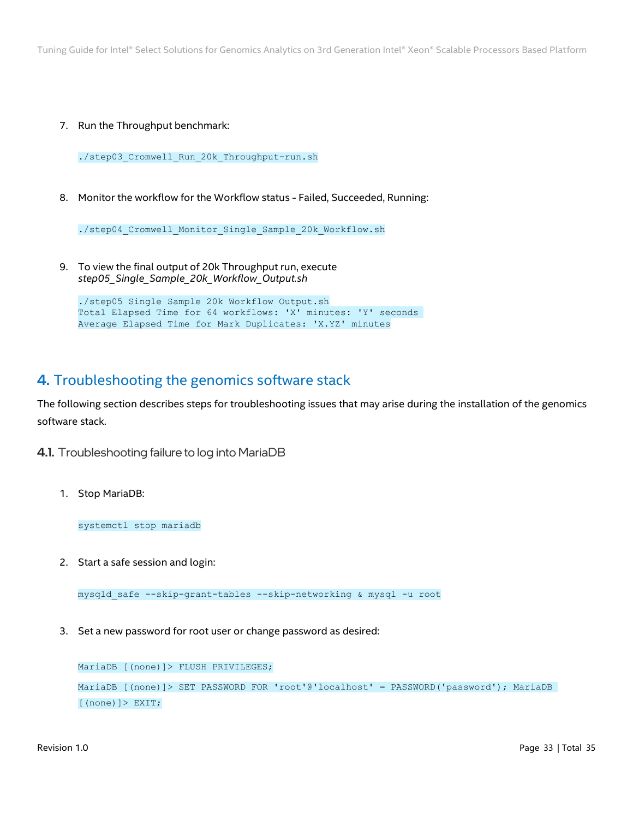7. Run the Throughput benchmark:

./step03 Cromwell Run 20k Throughput-run.sh

8. Monitor the workflow for the Workflow status - Failed, Succeeded, Running:

./step04\_Cromwell\_Monitor\_Single\_Sample\_20k\_Workflow.sh

9. To view the final output of 20k Throughput run, execute *step05\_Single\_Sample\_20k\_Workflow\_Output.sh*

./step05\_Single\_Sample\_20k\_Workflow\_Output.sh Total Elapsed Time for 64 workflows: 'X' minutes: 'Y' seconds Average Elapsed Time for Mark Duplicates: 'X.YZ' minutes

# <span id="page-32-2"></span><span id="page-32-0"></span>4. Troubleshooting the genomics software stack

The following section describes steps for troubleshooting issues that may arise during the installation of the genomics software stack.

- <span id="page-32-1"></span>4.1. Troubleshooting failure to log into MariaDB
	- 1. Stop MariaDB:

systemctl stop mariadb

2. Start a safe session and login:

mysqld\_safe --skip-grant-tables --skip-networking & mysql -u root

3. Set a new password for root user or change password as desired:

MariaDB [(none)]> FLUSH PRIVILEGES; MariaDB [(none)]> SET PASSWORD FOR 'root'@'localhost' = PASSWORD('password'); MariaDB [(none)]> EXIT;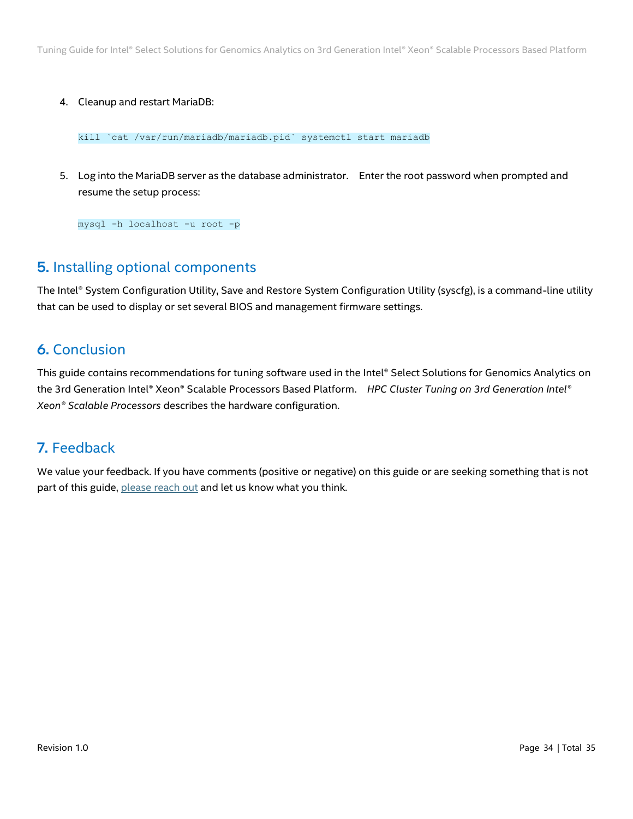## 4. Cleanup and restart MariaDB:

kill `cat /var/run/mariadb/mariadb.pid` systemctl start mariadb

5. Log into the MariaDB server as the database administrator. Enter the root password when prompted and resume the setup process:

mysql -h localhost -u root -p

# <span id="page-33-0"></span>5. Installing optional components

The Intel® System Configuration Utility, Save and Restore System Configuration Utility (syscfg), is a command-line utility that can be used to display or set several BIOS and management firmware settings.

# <span id="page-33-1"></span>6. Conclusion

This guide contains recommendations for tuning software used in the Intel® Select Solutions for Genomics Analytics on the 3rd Generation Intel® Xeon® Scalable Processors Based Platform. *HPC Cluster Tuning on 3rd Generation Intel® Xeon® Scalable Processors* describes the hardware configuration.

# <span id="page-33-2"></span>7. Feedback

We value your feedback. If you have comments (positive or negative) on this guide or are seeking something that is not part of this guide, [please reach out](https://community.intel.com/t5/Software-Tuning-Performance/bd-p/software-tuning-perf-optimization) and let us know what you think.